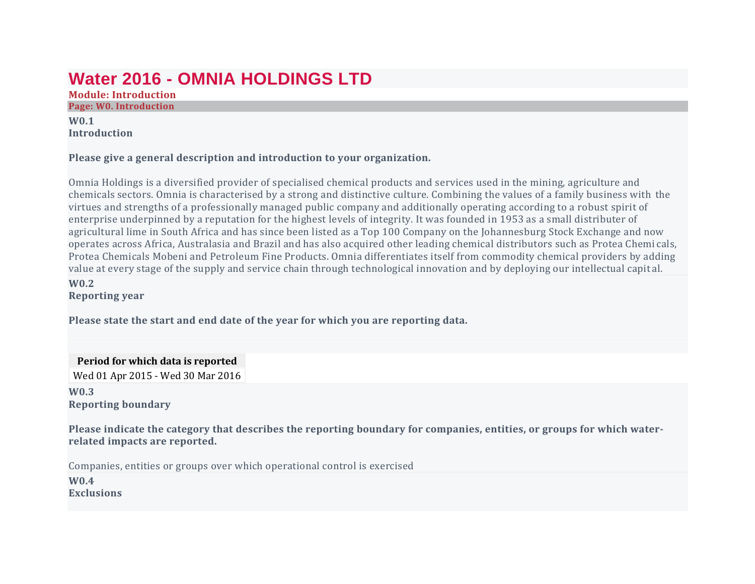# **Water 2016 - OMNIA HOLDINGS LTD**

**Module: Introduction Page: W0. Introduction**

# **W0.1 Introduction**

#### **Please give a general description and introduction to your organization.**

Omnia Holdings is a diversified provider of specialised chemical products and services used in the mining, agriculture and chemicals sectors. Omnia is characterised by a strong and distinctive culture. Combining the values of a family business with the virtues and strengths of a professionally managed public company and additionally operating according to a robust spirit of enterprise underpinned by a reputation for the highest levels of integrity. It was founded in 1953 as a small distributer of agricultural lime in South Africa and has since been listed as a Top 100 Company on the Johannesburg Stock Exchange and now operates across Africa, Australasia and Brazil and has also acquired other leading chemical distributors such as Protea Chemi cals, Protea Chemicals Mobeni and Petroleum Fine Products. Omnia differentiates itself from commodity chemical providers by adding value at every stage of the supply and service chain through technological innovation and by deploying our intellectual capit al.

#### **W0.2 Reporting year**

**Please state the start and end date of the year for which you are reporting data.**

**Period for which data is reported**

Wed 01 Apr 2015 - Wed 30 Mar 2016

#### **W0.3 Reporting boundary**

Please indicate the category that describes the reporting boundary for companies, entities, or groups for which water**related impacts are reported.**

Companies, entities or groups over which operational control is exercised

**W0.4 Exclusions**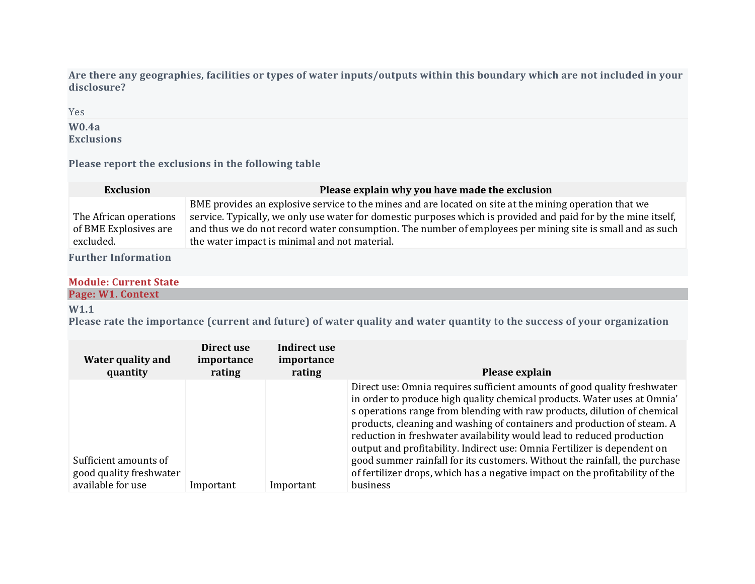Are there any geographies, facilities or types of water inputs/outputs within this boundary which are not included in your **disclosure?**

Yes

#### **W0.4a Exclusions**

**Please report the exclusions in the following table**

| <b>Exclusion</b>                                             | Please explain why you have made the exclusion                                                                                                                                                                                                                                                                                                                                         |
|--------------------------------------------------------------|----------------------------------------------------------------------------------------------------------------------------------------------------------------------------------------------------------------------------------------------------------------------------------------------------------------------------------------------------------------------------------------|
| The African operations<br>of BME Explosives are<br>excluded. | BME provides an explosive service to the mines and are located on site at the mining operation that we<br>service. Typically, we only use water for domestic purposes which is provided and paid for by the mine itself,<br>and thus we do not record water consumption. The number of employees per mining site is small and as such<br>the water impact is minimal and not material. |

**Further Information**

### **Module: Current State**

#### **Page: W1. Context**

# **W1.1**

Please rate the importance (current and future) of water quality and water quantity to the success of your organization

| Water quality and<br>quantity                    | Direct use<br>importance<br>rating | Indirect use<br>importance<br>rating | Please explain                                                                                                                                                                                                                                                                                                                                                                                                                                                                                                                                                                                                                 |
|--------------------------------------------------|------------------------------------|--------------------------------------|--------------------------------------------------------------------------------------------------------------------------------------------------------------------------------------------------------------------------------------------------------------------------------------------------------------------------------------------------------------------------------------------------------------------------------------------------------------------------------------------------------------------------------------------------------------------------------------------------------------------------------|
| Sufficient amounts of<br>good quality freshwater |                                    |                                      | Direct use: Omnia requires sufficient amounts of good quality freshwater<br>in order to produce high quality chemical products. Water uses at Omnia'<br>s operations range from blending with raw products, dilution of chemical<br>products, cleaning and washing of containers and production of steam. A<br>reduction in freshwater availability would lead to reduced production<br>output and profitability. Indirect use: Omnia Fertilizer is dependent on<br>good summer rainfall for its customers. Without the rainfall, the purchase<br>of fertilizer drops, which has a negative impact on the profitability of the |
| available for use                                | Important                          | Important                            | business                                                                                                                                                                                                                                                                                                                                                                                                                                                                                                                                                                                                                       |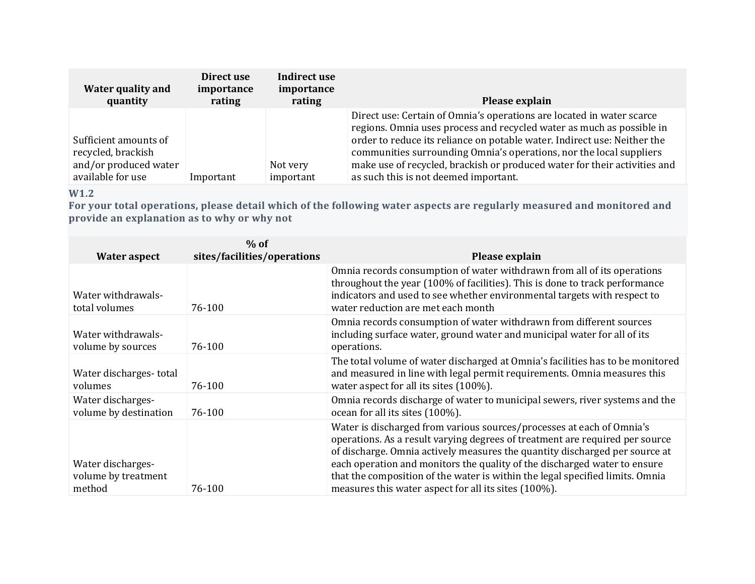| Water quality and<br>quantity                                                             | Direct use<br>importance<br>rating | Indirect use<br>importance<br>rating | Please explain                                                                                                                                                                                                                                                                                                                                                                                                          |
|-------------------------------------------------------------------------------------------|------------------------------------|--------------------------------------|-------------------------------------------------------------------------------------------------------------------------------------------------------------------------------------------------------------------------------------------------------------------------------------------------------------------------------------------------------------------------------------------------------------------------|
| Sufficient amounts of<br>recycled, brackish<br>and/or produced water<br>available for use | Important                          | Not very<br>important                | Direct use: Certain of Omnia's operations are located in water scarce<br>regions. Omnia uses process and recycled water as much as possible in<br>order to reduce its reliance on potable water. Indirect use: Neither the<br>communities surrounding Omnia's operations, nor the local suppliers<br>make use of recycled, brackish or produced water for their activities and<br>as such this is not deemed important. |

# **W1.2**

For your total operations, please detail which of the following water aspects are regularly measured and monitored and **provide an explanation as to why or why not**

|                                                    | $%$ of                      |                                                                                                                                                                                                                                                                                                                                                                                                                                                            |
|----------------------------------------------------|-----------------------------|------------------------------------------------------------------------------------------------------------------------------------------------------------------------------------------------------------------------------------------------------------------------------------------------------------------------------------------------------------------------------------------------------------------------------------------------------------|
| <b>Water aspect</b>                                | sites/facilities/operations | Please explain                                                                                                                                                                                                                                                                                                                                                                                                                                             |
| Water withdrawals-<br>total volumes                | 76-100                      | Omnia records consumption of water withdrawn from all of its operations<br>throughout the year (100% of facilities). This is done to track performance<br>indicators and used to see whether environmental targets with respect to<br>water reduction are met each month                                                                                                                                                                                   |
| Water withdrawals-<br>volume by sources            | 76-100                      | Omnia records consumption of water withdrawn from different sources<br>including surface water, ground water and municipal water for all of its<br>operations.                                                                                                                                                                                                                                                                                             |
| Water discharges-total<br>volumes                  | 76-100                      | The total volume of water discharged at Omnia's facilities has to be monitored<br>and measured in line with legal permit requirements. Omnia measures this<br>water aspect for all its sites (100%).                                                                                                                                                                                                                                                       |
| Water discharges-<br>volume by destination         | 76-100                      | Omnia records discharge of water to municipal sewers, river systems and the<br>ocean for all its sites (100%).                                                                                                                                                                                                                                                                                                                                             |
| Water discharges-<br>volume by treatment<br>method | 76-100                      | Water is discharged from various sources/processes at each of Omnia's<br>operations. As a result varying degrees of treatment are required per source<br>of discharge. Omnia actively measures the quantity discharged per source at<br>each operation and monitors the quality of the discharged water to ensure<br>that the composition of the water is within the legal specified limits. Omnia<br>measures this water aspect for all its sites (100%). |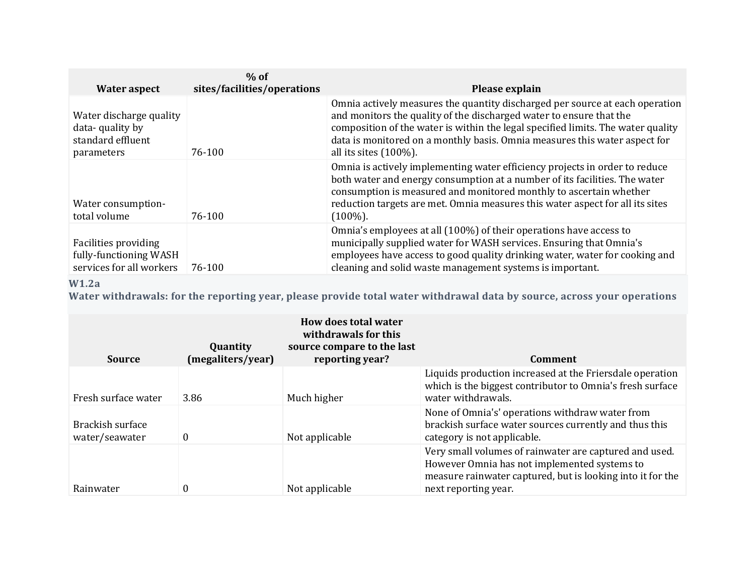| <b>Water aspect</b>                                                           | $%$ of<br>sites/facilities/operations | Please explain                                                                                                                                                                                                                                                                                                                                     |
|-------------------------------------------------------------------------------|---------------------------------------|----------------------------------------------------------------------------------------------------------------------------------------------------------------------------------------------------------------------------------------------------------------------------------------------------------------------------------------------------|
| Water discharge quality<br>data-quality by<br>standard effluent<br>parameters | 76-100                                | Omnia actively measures the quantity discharged per source at each operation<br>and monitors the quality of the discharged water to ensure that the<br>composition of the water is within the legal specified limits. The water quality<br>data is monitored on a monthly basis. Omnia measures this water aspect for<br>all its sites $(100\%)$ . |
| Water consumption-<br>total volume                                            | 76-100                                | Omnia is actively implementing water efficiency projects in order to reduce<br>both water and energy consumption at a number of its facilities. The water<br>consumption is measured and monitored monthly to ascertain whether<br>reduction targets are met. Omnia measures this water aspect for all its sites<br>$(100\%)$ .                    |
| Facilities providing<br>fully-functioning WASH<br>services for all workers    | 76-100                                | Omnia's employees at all (100%) of their operations have access to<br>municipally supplied water for WASH services. Ensuring that Omnia's<br>employees have access to good quality drinking water, water for cooking and<br>cleaning and solid waste management systems is important.                                                              |

# **W1.2a**

Water withdrawals: for the reporting year, please provide total water withdrawal data by source, across your operations

| <b>Source</b>                      | Quantity<br>(megaliters/year) | <b>How does total water</b><br>withdrawals for this<br>source compare to the last<br>reporting year? | <b>Comment</b>                                                                                                                                                                               |
|------------------------------------|-------------------------------|------------------------------------------------------------------------------------------------------|----------------------------------------------------------------------------------------------------------------------------------------------------------------------------------------------|
| Fresh surface water                | 3.86                          | Much higher                                                                                          | Liquids production increased at the Friersdale operation<br>which is the biggest contributor to Omnia's fresh surface<br>water withdrawals.                                                  |
| Brackish surface<br>water/seawater | $\theta$                      | Not applicable                                                                                       | None of Omnia's' operations withdraw water from<br>brackish surface water sources currently and thus this<br>category is not applicable.                                                     |
| Rainwater                          | 0                             | Not applicable                                                                                       | Very small volumes of rainwater are captured and used.<br>However Omnia has not implemented systems to<br>measure rainwater captured, but is looking into it for the<br>next reporting year. |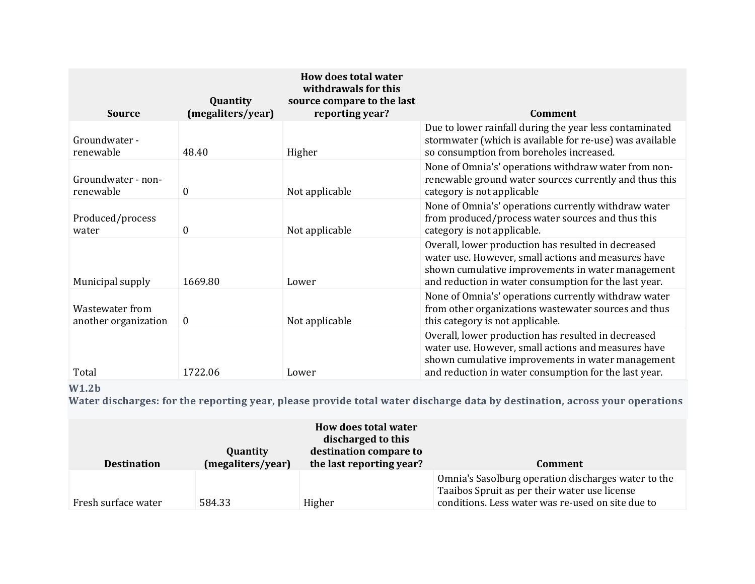| <b>Source</b>                           | Quantity<br>(megaliters/year) | How does total water<br>withdrawals for this<br>source compare to the last<br>reporting year? | Comment                                                                                                                                                                                                                  |
|-----------------------------------------|-------------------------------|-----------------------------------------------------------------------------------------------|--------------------------------------------------------------------------------------------------------------------------------------------------------------------------------------------------------------------------|
| Groundwater -<br>renewable              | 48.40                         | Higher                                                                                        | Due to lower rainfall during the year less contaminated<br>stormwater (which is available for re-use) was available<br>so consumption from boreholes increased.                                                          |
| Groundwater - non-<br>renewable         | $\boldsymbol{0}$              | Not applicable                                                                                | None of Omnia's' operations withdraw water from non-<br>renewable ground water sources currently and thus this<br>category is not applicable                                                                             |
| Produced/process<br>water               | $\boldsymbol{0}$              | Not applicable                                                                                | None of Omnia's' operations currently withdraw water<br>from produced/process water sources and thus this<br>category is not applicable.                                                                                 |
| Municipal supply                        | 1669.80                       | Lower                                                                                         | Overall, lower production has resulted in decreased<br>water use. However, small actions and measures have<br>shown cumulative improvements in water management<br>and reduction in water consumption for the last year. |
| Wastewater from<br>another organization | $\boldsymbol{0}$              | Not applicable                                                                                | None of Omnia's' operations currently withdraw water<br>from other organizations wastewater sources and thus<br>this category is not applicable.                                                                         |
| Total                                   | 1722.06                       | Lower                                                                                         | Overall, lower production has resulted in decreased<br>water use. However, small actions and measures have<br>shown cumulative improvements in water management<br>and reduction in water consumption for the last year. |

# **W1.2b**

Water discharges: for the reporting year, please provide total water discharge data by destination, across your operations

| <b>Destination</b>  | Quantity<br>(megaliters/year) | How does total water<br>discharged to this<br>destination compare to<br>the last reporting year? | Comment                                                                                                                                                   |
|---------------------|-------------------------------|--------------------------------------------------------------------------------------------------|-----------------------------------------------------------------------------------------------------------------------------------------------------------|
| Fresh surface water | 584.33                        | Higher                                                                                           | Omnia's Sasolburg operation discharges water to the<br>Taaibos Spruit as per their water use license<br>conditions. Less water was re-used on site due to |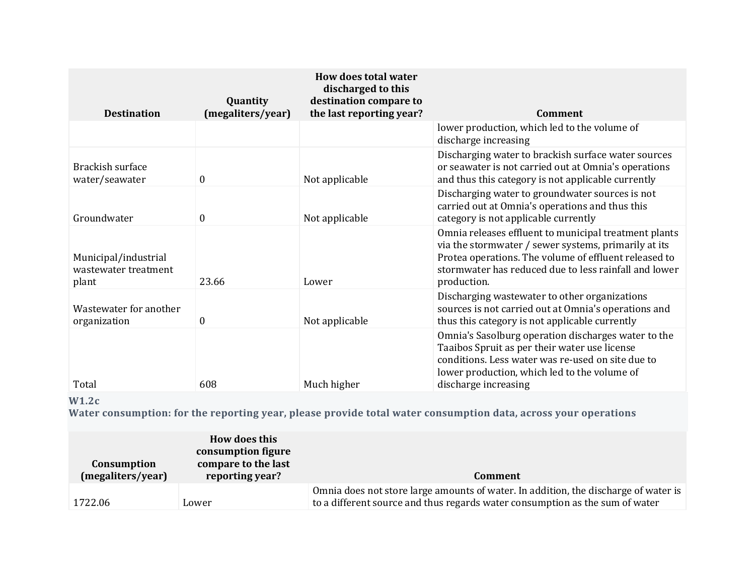| <b>Destination</b>                                    | Quantity<br>(megaliters/year) | How does total water<br>discharged to this<br>destination compare to<br>the last reporting year? | <b>Comment</b>                                                                                                                                                                                                                                 |
|-------------------------------------------------------|-------------------------------|--------------------------------------------------------------------------------------------------|------------------------------------------------------------------------------------------------------------------------------------------------------------------------------------------------------------------------------------------------|
|                                                       |                               |                                                                                                  | lower production, which led to the volume of<br>discharge increasing                                                                                                                                                                           |
| Brackish surface<br>water/seawater                    | 0                             | Not applicable                                                                                   | Discharging water to brackish surface water sources<br>or seawater is not carried out at Omnia's operations<br>and thus this category is not applicable currently                                                                              |
| Groundwater                                           | $\mathbf{0}$                  | Not applicable                                                                                   | Discharging water to groundwater sources is not<br>carried out at Omnia's operations and thus this<br>category is not applicable currently                                                                                                     |
| Municipal/industrial<br>wastewater treatment<br>plant | 23.66                         | Lower                                                                                            | Omnia releases effluent to municipal treatment plants<br>via the stormwater / sewer systems, primarily at its<br>Protea operations. The volume of effluent released to<br>stormwater has reduced due to less rainfall and lower<br>production. |
| Wastewater for another<br>organization                | 0                             | Not applicable                                                                                   | Discharging wastewater to other organizations<br>sources is not carried out at Omnia's operations and<br>thus this category is not applicable currently                                                                                        |
| Total                                                 | 608                           | Much higher                                                                                      | Omnia's Sasolburg operation discharges water to the<br>Taaibos Spruit as per their water use license<br>conditions. Less water was re-used on site due to<br>lower production, which led to the volume of<br>discharge increasing              |

# **W1.2c**

**Water consumption: for the reporting year, please provide total water consumption data, across your operations**

| Consumption<br>(megaliters/year) | How does this<br>consumption figure<br>compare to the last<br>reporting year? | Comment                                                                                                                                                             |
|----------------------------------|-------------------------------------------------------------------------------|---------------------------------------------------------------------------------------------------------------------------------------------------------------------|
| 1722.06                          | Lower                                                                         | Omnia does not store large amounts of water. In addition, the discharge of water is<br>to a different source and thus regards water consumption as the sum of water |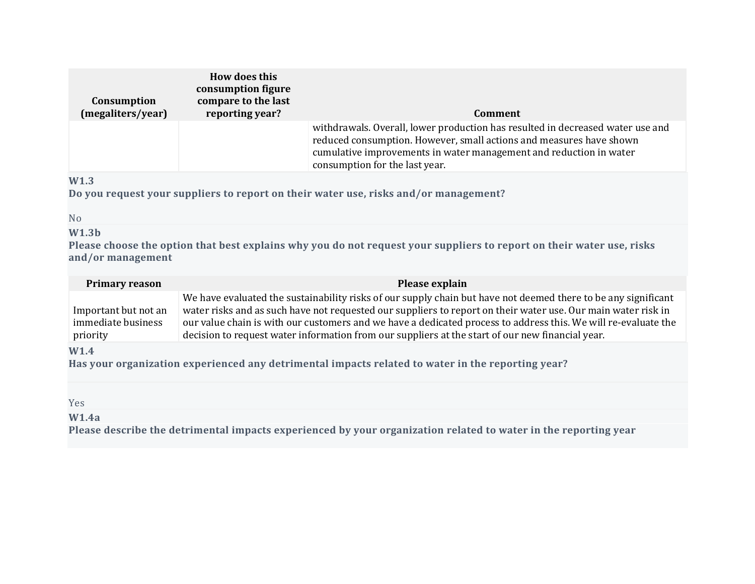| Consumption<br>(megaliters/year) | How does this<br>consumption figure<br>compare to the last<br>reporting year? | Comment                                                                                                                                                                                                                                                       |
|----------------------------------|-------------------------------------------------------------------------------|---------------------------------------------------------------------------------------------------------------------------------------------------------------------------------------------------------------------------------------------------------------|
|                                  |                                                                               | withdrawals. Overall, lower production has resulted in decreased water use and<br>reduced consumption. However, small actions and measures have shown<br>cumulative improvements in water management and reduction in water<br>consumption for the last year. |

# **W1.3**

**Do you request your suppliers to report on their water use, risks and/or management?**

#### No

# **W1.3b**

Please choose the option that best explains why you do not request your suppliers to report on their water use, risks **and/or management**

| <b>Primary reason</b>                                  | Please explain                                                                                                                                                                                                                                                                                                                                                                                                                                        |
|--------------------------------------------------------|-------------------------------------------------------------------------------------------------------------------------------------------------------------------------------------------------------------------------------------------------------------------------------------------------------------------------------------------------------------------------------------------------------------------------------------------------------|
| Important but not an<br>immediate business<br>priority | We have evaluated the sustainability risks of our supply chain but have not deemed there to be any significant<br>water risks and as such have not requested our suppliers to report on their water use. Our main water risk in<br>our value chain is with our customers and we have a dedicated process to address this. We will re-evaluate the<br>decision to request water information from our suppliers at the start of our new financial year. |
| W1.4                                                   |                                                                                                                                                                                                                                                                                                                                                                                                                                                       |

**Has your organization experienced any detrimental impacts related to water in the reporting year?**

#### Yes

# **W1.4a**

**Please describe the detrimental impacts experienced by your organization related to water in the reporting year**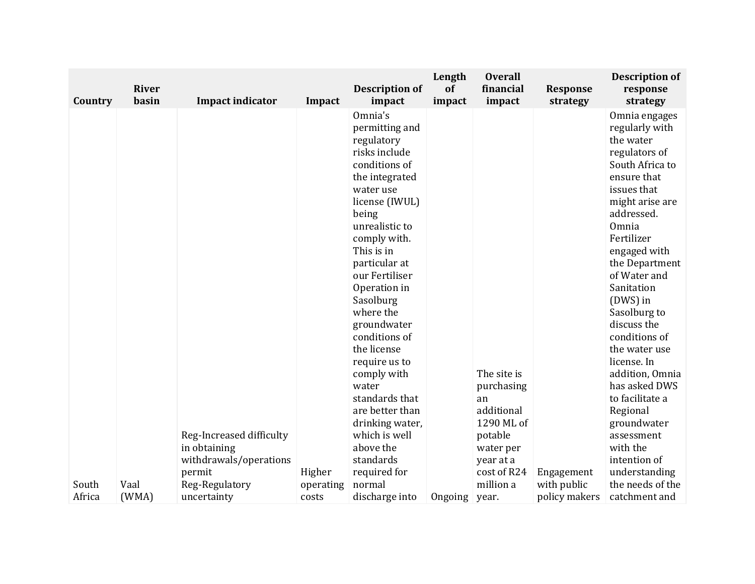|         | <b>River</b> |                                                                     |           | <b>Description of</b>                                                                                                                                                                                                                                                                                                                                                                                                                                    | Length<br>of | <b>Overall</b><br>financial                                                                   |                             | <b>Description of</b>                                                                                                                                                                                                                                                                                                                                                                                                                                                  |
|---------|--------------|---------------------------------------------------------------------|-----------|----------------------------------------------------------------------------------------------------------------------------------------------------------------------------------------------------------------------------------------------------------------------------------------------------------------------------------------------------------------------------------------------------------------------------------------------------------|--------------|-----------------------------------------------------------------------------------------------|-----------------------------|------------------------------------------------------------------------------------------------------------------------------------------------------------------------------------------------------------------------------------------------------------------------------------------------------------------------------------------------------------------------------------------------------------------------------------------------------------------------|
|         |              |                                                                     |           |                                                                                                                                                                                                                                                                                                                                                                                                                                                          |              |                                                                                               |                             |                                                                                                                                                                                                                                                                                                                                                                                                                                                                        |
| Country | basin        | <b>Impact indicator</b><br>Reg-Increased difficulty<br>in obtaining | Impact    | impact<br>Omnia's<br>permitting and<br>regulatory<br>risks include<br>conditions of<br>the integrated<br>water use<br>license (IWUL)<br>being<br>unrealistic to<br>comply with.<br>This is in<br>particular at<br>our Fertiliser<br>Operation in<br>Sasolburg<br>where the<br>groundwater<br>conditions of<br>the license<br>require us to<br>comply with<br>water<br>standards that<br>are better than<br>drinking water,<br>which is well<br>above the | impact       | impact<br>The site is<br>purchasing<br>an<br>additional<br>1290 ML of<br>potable<br>water per | <b>Response</b><br>strategy | response<br>strategy<br>Omnia engages<br>regularly with<br>the water<br>regulators of<br>South Africa to<br>ensure that<br>issues that<br>might arise are<br>addressed.<br>Omnia<br>Fertilizer<br>engaged with<br>the Department<br>of Water and<br>Sanitation<br>(DWS) in<br>Sasolburg to<br>discuss the<br>conditions of<br>the water use<br>license. In<br>addition, Omnia<br>has asked DWS<br>to facilitate a<br>Regional<br>groundwater<br>assessment<br>with the |
|         |              | withdrawals/operations                                              |           | standards                                                                                                                                                                                                                                                                                                                                                                                                                                                |              | year at a                                                                                     |                             | intention of                                                                                                                                                                                                                                                                                                                                                                                                                                                           |
|         |              | permit                                                              | Higher    | required for                                                                                                                                                                                                                                                                                                                                                                                                                                             |              | cost of R24                                                                                   | Engagement                  | understanding                                                                                                                                                                                                                                                                                                                                                                                                                                                          |
| South   | Vaal         | Reg-Regulatory                                                      | operating | normal                                                                                                                                                                                                                                                                                                                                                                                                                                                   |              | million a                                                                                     | with public                 | the needs of the                                                                                                                                                                                                                                                                                                                                                                                                                                                       |
| Africa  | (WMA)        | uncertainty                                                         | costs     | discharge into                                                                                                                                                                                                                                                                                                                                                                                                                                           | Ongoing      | year.                                                                                         | policy makers               | catchment and                                                                                                                                                                                                                                                                                                                                                                                                                                                          |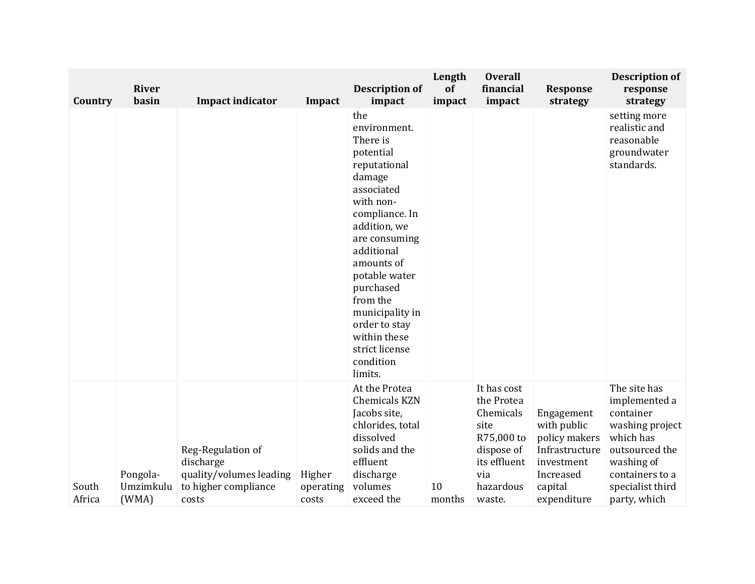| Country         | <b>River</b><br>basin          | <b>Impact indicator</b>                                                                    | Impact                       | <b>Description of</b><br>impact                                                                                                                                                                                                                                                                                          | Length<br>of<br>impact | <b>Overall</b><br>financial<br>impact                                                                                    | <b>Response</b><br>strategy                                                                                       | <b>Description of</b><br>response<br>strategy                                                                                                                     |
|-----------------|--------------------------------|--------------------------------------------------------------------------------------------|------------------------------|--------------------------------------------------------------------------------------------------------------------------------------------------------------------------------------------------------------------------------------------------------------------------------------------------------------------------|------------------------|--------------------------------------------------------------------------------------------------------------------------|-------------------------------------------------------------------------------------------------------------------|-------------------------------------------------------------------------------------------------------------------------------------------------------------------|
|                 |                                |                                                                                            |                              | the<br>environment.<br>There is<br>potential<br>reputational<br>damage<br>associated<br>with non-<br>compliance. In<br>addition, we<br>are consuming<br>additional<br>amounts of<br>potable water<br>purchased<br>from the<br>municipality in<br>order to stay<br>within these<br>strict license<br>condition<br>limits. |                        |                                                                                                                          |                                                                                                                   | setting more<br>realistic and<br>reasonable<br>groundwater<br>standards.                                                                                          |
| South<br>Africa | Pongola-<br>Umzimkulu<br>(WMA) | Reg-Regulation of<br>discharge<br>quality/volumes leading<br>to higher compliance<br>costs | Higher<br>operating<br>costs | At the Protea<br><b>Chemicals KZN</b><br>Jacobs site,<br>chlorides, total<br>dissolved<br>solids and the<br>effluent<br>discharge<br>volumes<br>exceed the                                                                                                                                                               | 10<br>months           | It has cost<br>the Protea<br>Chemicals<br>site<br>R75,000 to<br>dispose of<br>its effluent<br>via<br>hazardous<br>waste. | Engagement<br>with public<br>policy makers<br>Infrastructure<br>investment<br>Increased<br>capital<br>expenditure | The site has<br>implemented a<br>container<br>washing project<br>which has<br>outsourced the<br>washing of<br>containers to a<br>specialist third<br>party, which |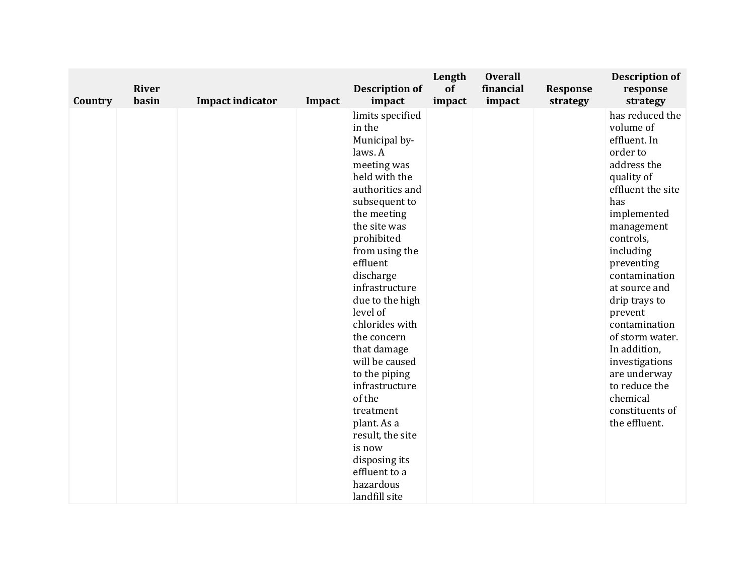| Country | <b>River</b><br>basin | <b>Impact indicator</b> | Impact | <b>Description of</b><br>impact                                                                                                                                                                                                                                                                                                                                                                                                                                                                              | Length<br>of<br>impact | <b>Overall</b><br>financial<br>impact | <b>Response</b><br>strategy | <b>Description of</b><br>response<br>strategy                                                                                                                                                                                                                                                                                                                                                               |
|---------|-----------------------|-------------------------|--------|--------------------------------------------------------------------------------------------------------------------------------------------------------------------------------------------------------------------------------------------------------------------------------------------------------------------------------------------------------------------------------------------------------------------------------------------------------------------------------------------------------------|------------------------|---------------------------------------|-----------------------------|-------------------------------------------------------------------------------------------------------------------------------------------------------------------------------------------------------------------------------------------------------------------------------------------------------------------------------------------------------------------------------------------------------------|
|         |                       |                         |        | limits specified<br>in the<br>Municipal by-<br>laws. A<br>meeting was<br>held with the<br>authorities and<br>subsequent to<br>the meeting<br>the site was<br>prohibited<br>from using the<br>effluent<br>discharge<br>infrastructure<br>due to the high<br>level of<br>chlorides with<br>the concern<br>that damage<br>will be caused<br>to the piping<br>infrastructure<br>of the<br>treatment<br>plant. As a<br>result, the site<br>is now<br>disposing its<br>effluent to a<br>hazardous<br>landfill site |                        |                                       |                             | has reduced the<br>volume of<br>effluent. In<br>order to<br>address the<br>quality of<br>effluent the site<br>has<br>implemented<br>management<br>controls,<br>including<br>preventing<br>contamination<br>at source and<br>drip trays to<br>prevent<br>contamination<br>of storm water.<br>In addition,<br>investigations<br>are underway<br>to reduce the<br>chemical<br>constituents of<br>the effluent. |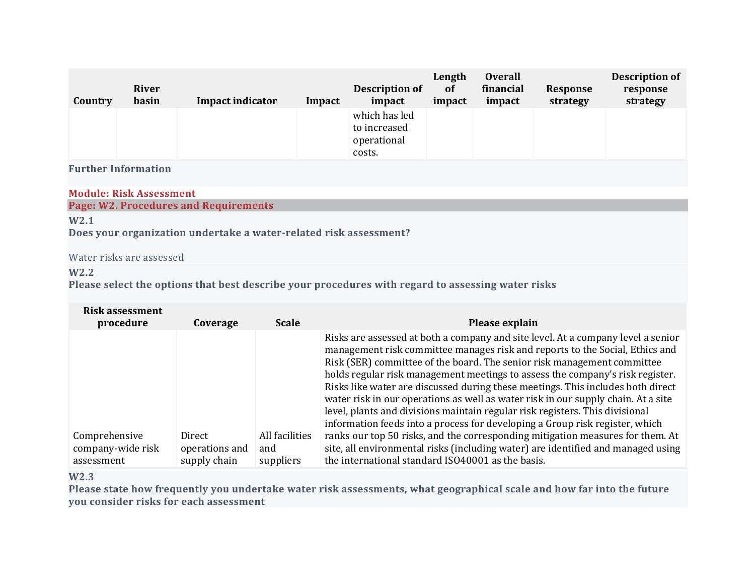| Country | River<br>basin | <b>Impact indicator</b> | Impact | Description of<br>impact                               | Length<br>of<br>impact | <b>Overall</b><br>financial<br>impact | Response<br>strategy | <b>Description of</b><br>response<br>strategy |
|---------|----------------|-------------------------|--------|--------------------------------------------------------|------------------------|---------------------------------------|----------------------|-----------------------------------------------|
|         |                |                         |        | which has led<br>to increased<br>operational<br>costs. |                        |                                       |                      |                                               |

#### **Module: Risk Assessment**

# **Page: W2. Procedures and Requirements**

### **W2.1**

**Does your organization undertake a water-related risk assessment?**

# Water risks are assessed

# **W2.2**

**Please select the options that best describe your procedures with regard to assessing water risks**

| Risk assessment<br>procedure                     | Coverage                                 | <b>Scale</b>                       | Please explain                                                                                                                                                                                                                                                                                                                                                                                                                                                                                                                                                                                                                                                                                                                                                                                                                                                                                  |
|--------------------------------------------------|------------------------------------------|------------------------------------|-------------------------------------------------------------------------------------------------------------------------------------------------------------------------------------------------------------------------------------------------------------------------------------------------------------------------------------------------------------------------------------------------------------------------------------------------------------------------------------------------------------------------------------------------------------------------------------------------------------------------------------------------------------------------------------------------------------------------------------------------------------------------------------------------------------------------------------------------------------------------------------------------|
| Comprehensive<br>company-wide risk<br>assessment | Direct<br>operations and<br>supply chain | All facilities<br>and<br>suppliers | Risks are assessed at both a company and site level. At a company level a senior<br>management risk committee manages risk and reports to the Social, Ethics and<br>Risk (SER) committee of the board. The senior risk management committee<br>holds regular risk management meetings to assess the company's risk register.<br>Risks like water are discussed during these meetings. This includes both direct<br>water risk in our operations as well as water risk in our supply chain. At a site<br>level, plants and divisions maintain regular risk registers. This divisional<br>information feeds into a process for developing a Group risk register, which<br>ranks our top 50 risks, and the corresponding mitigation measures for them. At<br>site, all environmental risks (including water) are identified and managed using<br>the international standard ISO40001 as the basis. |

# **W2.3**

Please state how frequently you undertake water risk assessments, what geographical scale and how far into the future **you consider risks for each assessment**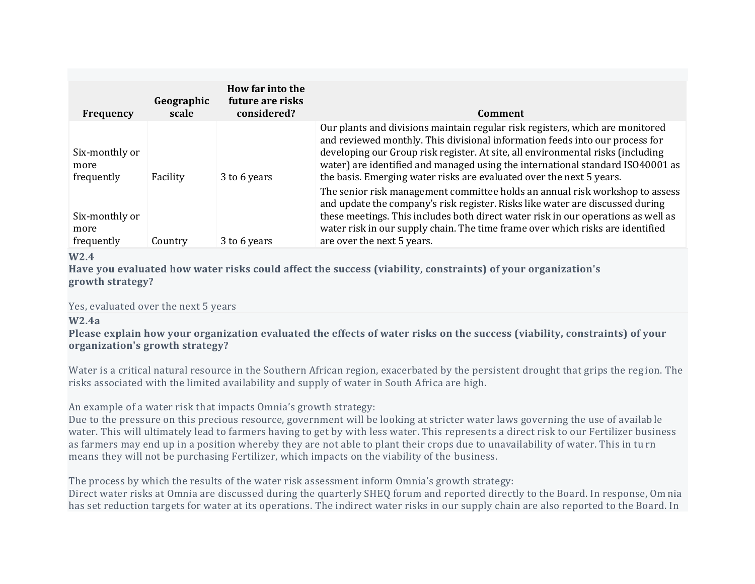| Frequency                            | Geographic<br>scale | How far into the<br>future are risks<br>considered? | Comment                                                                                                                                                                                                                                                                                                                                                                                                    |
|--------------------------------------|---------------------|-----------------------------------------------------|------------------------------------------------------------------------------------------------------------------------------------------------------------------------------------------------------------------------------------------------------------------------------------------------------------------------------------------------------------------------------------------------------------|
| Six-monthly or<br>more<br>frequently | Facility            | 3 to 6 years                                        | Our plants and divisions maintain regular risk registers, which are monitored<br>and reviewed monthly. This divisional information feeds into our process for<br>developing our Group risk register. At site, all environmental risks (including<br>water) are identified and managed using the international standard ISO40001 as<br>the basis. Emerging water risks are evaluated over the next 5 years. |
| Six-monthly or<br>more<br>frequently | Country             | 3 to 6 years                                        | The senior risk management committee holds an annual risk workshop to assess<br>and update the company's risk register. Risks like water are discussed during<br>these meetings. This includes both direct water risk in our operations as well as<br>water risk in our supply chain. The time frame over which risks are identified<br>are over the next 5 years.                                         |

### **W2.4**

**Have you evaluated how water risks could affect the success (viability, constraints) of your organization's growth strategy?**

#### Yes, evaluated over the next 5 years

### **W2.4a**

Please explain how your organization evaluated the effects of water risks on the success (viability, constraints) of your **organization's growth strategy?**

Water is a critical natural resource in the Southern African region, exacerbated by the persistent drought that grips the reg ion. The risks associated with the limited availability and supply of water in South Africa are high.

An example of a water risk that impacts Omnia's growth strategy:

Due to the pressure on this precious resource, government will be looking at stricter water laws governing the use of availab le water. This will ultimately lead to farmers having to get by with less water. This represents a direct risk to our Fertilizer business as farmers may end up in a position whereby they are not able to plant their crops due to unavailability of water. This in tu rn means they will not be purchasing Fertilizer, which impacts on the viability of the business.

The process by which the results of the water risk assessment inform Omnia's growth strategy:

Direct water risks at Omnia are discussed during the quarterly SHEQ forum and reported directly to the Board. In response, Om nia has set reduction targets for water at its operations. The indirect water risks in our supply chain are also reported to the Board. In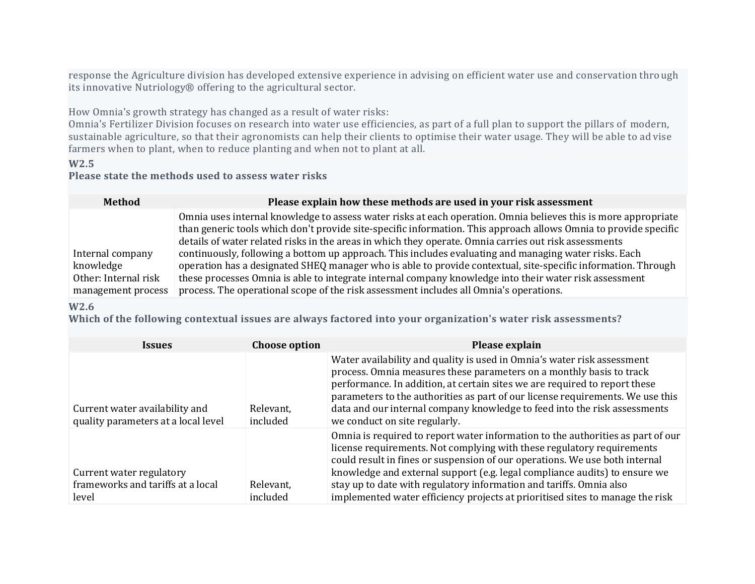response the Agriculture division has developed extensive experience in advising on efficient water use and conservation thro ugh its innovative Nutriology® offering to the agricultural sector.

How Omnia's growth strategy has changed as a result of water risks:

Omnia's Fertilizer Division focuses on research into water use efficiencies, as part of a full plan to support the pillars of modern, sustainable agriculture, so that their agronomists can help their clients to optimise their water usage. They will be able to ad vise farmers when to plant, when to reduce planting and when not to plant at all.

# **W2.5**

# **Please state the methods used to assess water risks**

| <b>Method</b>        | Please explain how these methods are used in your risk assessment                                                                                                                                                                  |
|----------------------|------------------------------------------------------------------------------------------------------------------------------------------------------------------------------------------------------------------------------------|
|                      | Omnia uses internal knowledge to assess water risks at each operation. Omnia believes this is more appropriate<br>than generic tools which don't provide site-specific information. This approach allows Omnia to provide specific |
|                      | details of water related risks in the areas in which they operate. Omnia carries out risk assessments                                                                                                                              |
| Internal company     | continuously, following a bottom up approach. This includes evaluating and managing water risks. Each                                                                                                                              |
| knowledge            | operation has a designated SHEQ manager who is able to provide contextual, site-specific information. Through                                                                                                                      |
| Other: Internal risk | these processes Omnia is able to integrate internal company knowledge into their water risk assessment                                                                                                                             |
| management process   | process. The operational scope of the risk assessment includes all Omnia's operations.                                                                                                                                             |

#### **W2.6**

**Which of the following contextual issues are always factored into your organization's water risk assessments?**

| <i><b>Issues</b></i>                                                   | <b>Choose option</b>  | Please explain                                                                                                                                                                                                                                                                                                                                                                                                                                                                 |
|------------------------------------------------------------------------|-----------------------|--------------------------------------------------------------------------------------------------------------------------------------------------------------------------------------------------------------------------------------------------------------------------------------------------------------------------------------------------------------------------------------------------------------------------------------------------------------------------------|
| Current water availability and<br>quality parameters at a local level  | Relevant,<br>included | Water availability and quality is used in Omnia's water risk assessment<br>process. Omnia measures these parameters on a monthly basis to track<br>performance. In addition, at certain sites we are required to report these<br>parameters to the authorities as part of our license requirements. We use this<br>data and our internal company knowledge to feed into the risk assessments<br>we conduct on site regularly.                                                  |
| Current water regulatory<br>frameworks and tariffs at a local<br>level | Relevant,<br>included | Omnia is required to report water information to the authorities as part of our<br>license requirements. Not complying with these regulatory requirements<br>could result in fines or suspension of our operations. We use both internal<br>knowledge and external support (e.g. legal compliance audits) to ensure we<br>stay up to date with regulatory information and tariffs. Omnia also<br>implemented water efficiency projects at prioritised sites to manage the risk |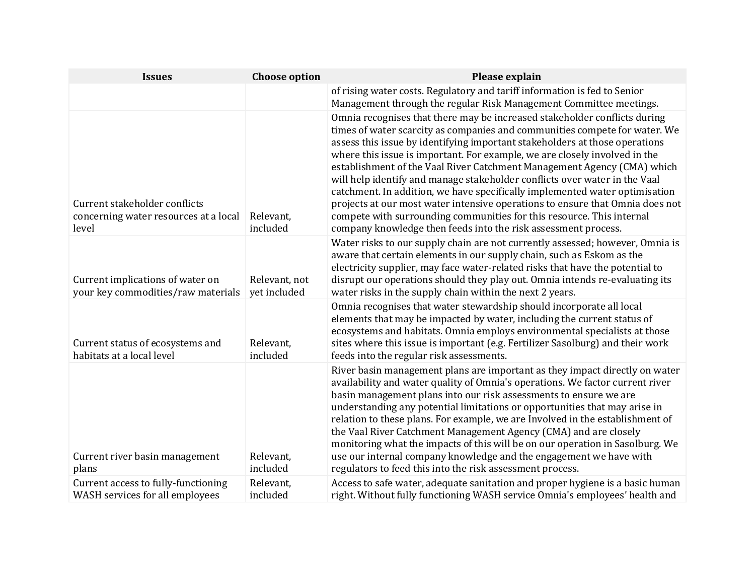| <b>Issues</b>                                                                   | <b>Choose option</b>          | Please explain                                                                                                                                                                                                                                                                                                                                                                                                                                                                                                                                                                                                                                                                                                                                                                           |
|---------------------------------------------------------------------------------|-------------------------------|------------------------------------------------------------------------------------------------------------------------------------------------------------------------------------------------------------------------------------------------------------------------------------------------------------------------------------------------------------------------------------------------------------------------------------------------------------------------------------------------------------------------------------------------------------------------------------------------------------------------------------------------------------------------------------------------------------------------------------------------------------------------------------------|
|                                                                                 |                               | of rising water costs. Regulatory and tariff information is fed to Senior<br>Management through the regular Risk Management Committee meetings.                                                                                                                                                                                                                                                                                                                                                                                                                                                                                                                                                                                                                                          |
| Current stakeholder conflicts<br>concerning water resources at a local<br>level | Relevant,<br>included         | Omnia recognises that there may be increased stakeholder conflicts during<br>times of water scarcity as companies and communities compete for water. We<br>assess this issue by identifying important stakeholders at those operations<br>where this issue is important. For example, we are closely involved in the<br>establishment of the Vaal River Catchment Management Agency (CMA) which<br>will help identify and manage stakeholder conflicts over water in the Vaal<br>catchment. In addition, we have specifically implemented water optimisation<br>projects at our most water intensive operations to ensure that Omnia does not<br>compete with surrounding communities for this resource. This internal<br>company knowledge then feeds into the risk assessment process. |
| Current implications of water on<br>your key commodities/raw materials          | Relevant, not<br>yet included | Water risks to our supply chain are not currently assessed; however, Omnia is<br>aware that certain elements in our supply chain, such as Eskom as the<br>electricity supplier, may face water-related risks that have the potential to<br>disrupt our operations should they play out. Omnia intends re-evaluating its<br>water risks in the supply chain within the next 2 years.                                                                                                                                                                                                                                                                                                                                                                                                      |
| Current status of ecosystems and<br>habitats at a local level                   | Relevant,<br>included         | Omnia recognises that water stewardship should incorporate all local<br>elements that may be impacted by water, including the current status of<br>ecosystems and habitats. Omnia employs environmental specialists at those<br>sites where this issue is important (e.g. Fertilizer Sasolburg) and their work<br>feeds into the regular risk assessments.                                                                                                                                                                                                                                                                                                                                                                                                                               |
| Current river basin management<br>plans                                         | Relevant,<br>included         | River basin management plans are important as they impact directly on water<br>availability and water quality of Omnia's operations. We factor current river<br>basin management plans into our risk assessments to ensure we are<br>understanding any potential limitations or opportunities that may arise in<br>relation to these plans. For example, we are Involved in the establishment of<br>the Vaal River Catchment Management Agency (CMA) and are closely<br>monitoring what the impacts of this will be on our operation in Sasolburg. We<br>use our internal company knowledge and the engagement we have with<br>regulators to feed this into the risk assessment process.                                                                                                 |
| Current access to fully-functioning<br>WASH services for all employees          | Relevant,<br>included         | Access to safe water, adequate sanitation and proper hygiene is a basic human<br>right. Without fully functioning WASH service Omnia's employees' health and                                                                                                                                                                                                                                                                                                                                                                                                                                                                                                                                                                                                                             |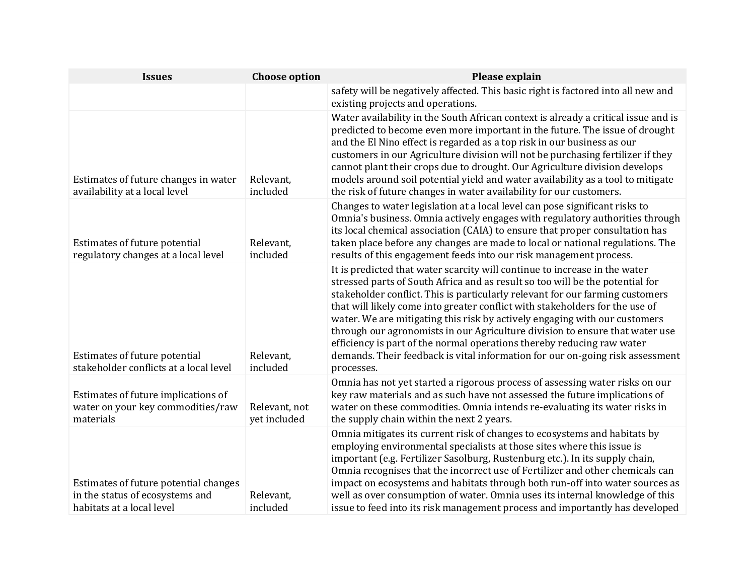| <b>Issues</b>                                                                                         | <b>Choose option</b>          | Please explain                                                                                                                                                                                                                                                                                                                                                                                                                                                                                                                                                                                                                                                      |
|-------------------------------------------------------------------------------------------------------|-------------------------------|---------------------------------------------------------------------------------------------------------------------------------------------------------------------------------------------------------------------------------------------------------------------------------------------------------------------------------------------------------------------------------------------------------------------------------------------------------------------------------------------------------------------------------------------------------------------------------------------------------------------------------------------------------------------|
|                                                                                                       |                               | safety will be negatively affected. This basic right is factored into all new and<br>existing projects and operations.                                                                                                                                                                                                                                                                                                                                                                                                                                                                                                                                              |
| Estimates of future changes in water<br>availability at a local level                                 | Relevant,<br>included         | Water availability in the South African context is already a critical issue and is<br>predicted to become even more important in the future. The issue of drought<br>and the El Nino effect is regarded as a top risk in our business as our<br>customers in our Agriculture division will not be purchasing fertilizer if they<br>cannot plant their crops due to drought. Our Agriculture division develops<br>models around soil potential yield and water availability as a tool to mitigate<br>the risk of future changes in water availability for our customers.                                                                                             |
| Estimates of future potential<br>regulatory changes at a local level                                  | Relevant,<br>included         | Changes to water legislation at a local level can pose significant risks to<br>Omnia's business. Omnia actively engages with regulatory authorities through<br>its local chemical association (CAIA) to ensure that proper consultation has<br>taken place before any changes are made to local or national regulations. The<br>results of this engagement feeds into our risk management process.                                                                                                                                                                                                                                                                  |
| Estimates of future potential<br>stakeholder conflicts at a local level                               | Relevant,<br>included         | It is predicted that water scarcity will continue to increase in the water<br>stressed parts of South Africa and as result so too will be the potential for<br>stakeholder conflict. This is particularly relevant for our farming customers<br>that will likely come into greater conflict with stakeholders for the use of<br>water. We are mitigating this risk by actively engaging with our customers<br>through our agronomists in our Agriculture division to ensure that water use<br>efficiency is part of the normal operations thereby reducing raw water<br>demands. Their feedback is vital information for our on-going risk assessment<br>processes. |
| Estimates of future implications of<br>water on your key commodities/raw<br>materials                 | Relevant, not<br>yet included | Omnia has not yet started a rigorous process of assessing water risks on our<br>key raw materials and as such have not assessed the future implications of<br>water on these commodities. Omnia intends re-evaluating its water risks in<br>the supply chain within the next 2 years.                                                                                                                                                                                                                                                                                                                                                                               |
| Estimates of future potential changes<br>in the status of ecosystems and<br>habitats at a local level | Relevant,<br>included         | Omnia mitigates its current risk of changes to ecosystems and habitats by<br>employing environmental specialists at those sites where this issue is<br>important (e.g. Fertilizer Sasolburg, Rustenburg etc.). In its supply chain,<br>Omnia recognises that the incorrect use of Fertilizer and other chemicals can<br>impact on ecosystems and habitats through both run-off into water sources as<br>well as over consumption of water. Omnia uses its internal knowledge of this<br>issue to feed into its risk management process and importantly has developed                                                                                                |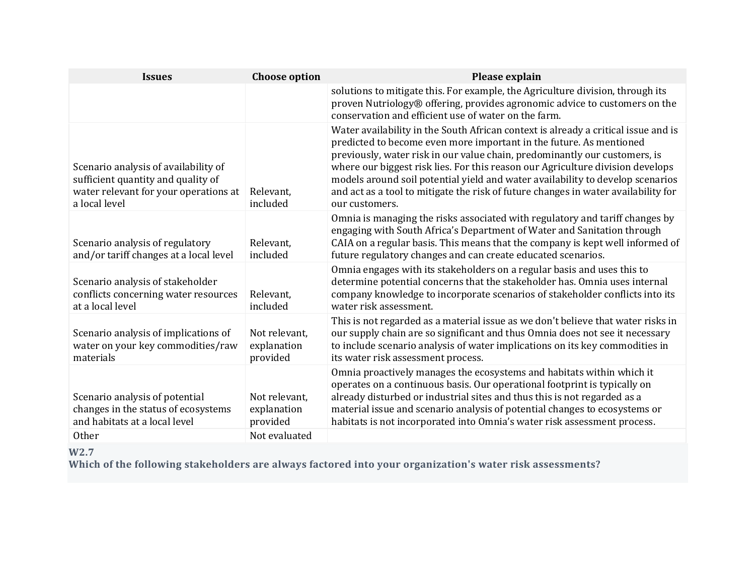| <b>Issues</b>                                                                                                                        | <b>Choose option</b>                                      | Please explain                                                                                                                                                                                                                                                                                                                                                                                                                                                                                                      |
|--------------------------------------------------------------------------------------------------------------------------------------|-----------------------------------------------------------|---------------------------------------------------------------------------------------------------------------------------------------------------------------------------------------------------------------------------------------------------------------------------------------------------------------------------------------------------------------------------------------------------------------------------------------------------------------------------------------------------------------------|
|                                                                                                                                      |                                                           | solutions to mitigate this. For example, the Agriculture division, through its<br>proven Nutriology® offering, provides agronomic advice to customers on the<br>conservation and efficient use of water on the farm.                                                                                                                                                                                                                                                                                                |
| Scenario analysis of availability of<br>sufficient quantity and quality of<br>water relevant for your operations at<br>a local level | Relevant,<br>included                                     | Water availability in the South African context is already a critical issue and is<br>predicted to become even more important in the future. As mentioned<br>previously, water risk in our value chain, predominantly our customers, is<br>where our biggest risk lies. For this reason our Agriculture division develops<br>models around soil potential yield and water availability to develop scenarios<br>and act as a tool to mitigate the risk of future changes in water availability for<br>our customers. |
| Scenario analysis of regulatory<br>and/or tariff changes at a local level                                                            | Relevant,<br>included                                     | Omnia is managing the risks associated with regulatory and tariff changes by<br>engaging with South Africa's Department of Water and Sanitation through<br>CAIA on a regular basis. This means that the company is kept well informed of<br>future regulatory changes and can create educated scenarios.                                                                                                                                                                                                            |
| Scenario analysis of stakeholder<br>conflicts concerning water resources<br>at a local level                                         | Relevant,<br>included                                     | Omnia engages with its stakeholders on a regular basis and uses this to<br>determine potential concerns that the stakeholder has. Omnia uses internal<br>company knowledge to incorporate scenarios of stakeholder conflicts into its<br>water risk assessment.                                                                                                                                                                                                                                                     |
| Scenario analysis of implications of<br>water on your key commodities/raw<br>materials                                               | Not relevant,<br>explanation<br>provided                  | This is not regarded as a material issue as we don't believe that water risks in<br>our supply chain are so significant and thus Omnia does not see it necessary<br>to include scenario analysis of water implications on its key commodities in<br>its water risk assessment process.                                                                                                                                                                                                                              |
| Scenario analysis of potential<br>changes in the status of ecosystems<br>and habitats at a local level<br><b>Other</b>               | Not relevant,<br>explanation<br>provided<br>Not evaluated | Omnia proactively manages the ecosystems and habitats within which it<br>operates on a continuous basis. Our operational footprint is typically on<br>already disturbed or industrial sites and thus this is not regarded as a<br>material issue and scenario analysis of potential changes to ecosystems or<br>habitats is not incorporated into Omnia's water risk assessment process.                                                                                                                            |
| $\mathbf{X} \mathbf{X}$                                                                                                              |                                                           |                                                                                                                                                                                                                                                                                                                                                                                                                                                                                                                     |

#### **W2.7**

**Which of the following stakeholders are always factored into your organization's water risk assessments?**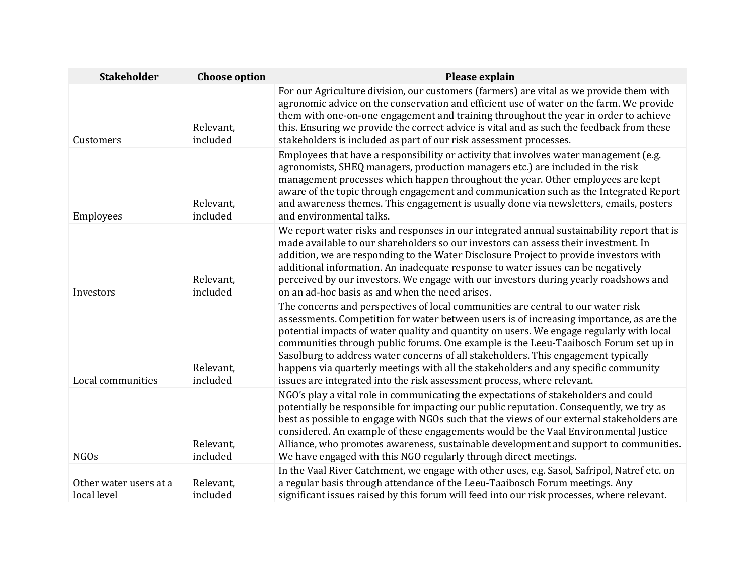| <b>Stakeholder</b>                    | <b>Choose option</b>  | Please explain                                                                                                                                                                                                                                                                                                                                                                                                                                                                                                                                                                                                           |
|---------------------------------------|-----------------------|--------------------------------------------------------------------------------------------------------------------------------------------------------------------------------------------------------------------------------------------------------------------------------------------------------------------------------------------------------------------------------------------------------------------------------------------------------------------------------------------------------------------------------------------------------------------------------------------------------------------------|
| Customers                             | Relevant,<br>included | For our Agriculture division, our customers (farmers) are vital as we provide them with<br>agronomic advice on the conservation and efficient use of water on the farm. We provide<br>them with one-on-one engagement and training throughout the year in order to achieve<br>this. Ensuring we provide the correct advice is vital and as such the feedback from these<br>stakeholders is included as part of our risk assessment processes.                                                                                                                                                                            |
| Employees                             | Relevant,<br>included | Employees that have a responsibility or activity that involves water management (e.g.<br>agronomists, SHEQ managers, production managers etc.) are included in the risk<br>management processes which happen throughout the year. Other employees are kept<br>aware of the topic through engagement and communication such as the Integrated Report<br>and awareness themes. This engagement is usually done via newsletters, emails, posters<br>and environmental talks.                                                                                                                                                |
| Investors                             | Relevant,<br>included | We report water risks and responses in our integrated annual sustainability report that is<br>made available to our shareholders so our investors can assess their investment. In<br>addition, we are responding to the Water Disclosure Project to provide investors with<br>additional information. An inadequate response to water issues can be negatively<br>perceived by our investors. We engage with our investors during yearly roadshows and<br>on an ad-hoc basis as and when the need arises.                                                                                                                |
| Local communities                     | Relevant,<br>included | The concerns and perspectives of local communities are central to our water risk<br>assessments. Competition for water between users is of increasing importance, as are the<br>potential impacts of water quality and quantity on users. We engage regularly with local<br>communities through public forums. One example is the Leeu-Taaibosch Forum set up in<br>Sasolburg to address water concerns of all stakeholders. This engagement typically<br>happens via quarterly meetings with all the stakeholders and any specific community<br>issues are integrated into the risk assessment process, where relevant. |
| <b>NGOs</b>                           | Relevant,<br>included | NGO's play a vital role in communicating the expectations of stakeholders and could<br>potentially be responsible for impacting our public reputation. Consequently, we try as<br>best as possible to engage with NGOs such that the views of our external stakeholders are<br>considered. An example of these engagements would be the Vaal Environmental Justice<br>Alliance, who promotes awareness, sustainable development and support to communities.<br>We have engaged with this NGO regularly through direct meetings.                                                                                          |
| Other water users at a<br>local level | Relevant,<br>included | In the Vaal River Catchment, we engage with other uses, e.g. Sasol, Safripol, Natref etc. on<br>a regular basis through attendance of the Leeu-Taaibosch Forum meetings. Any<br>significant issues raised by this forum will feed into our risk processes, where relevant.                                                                                                                                                                                                                                                                                                                                               |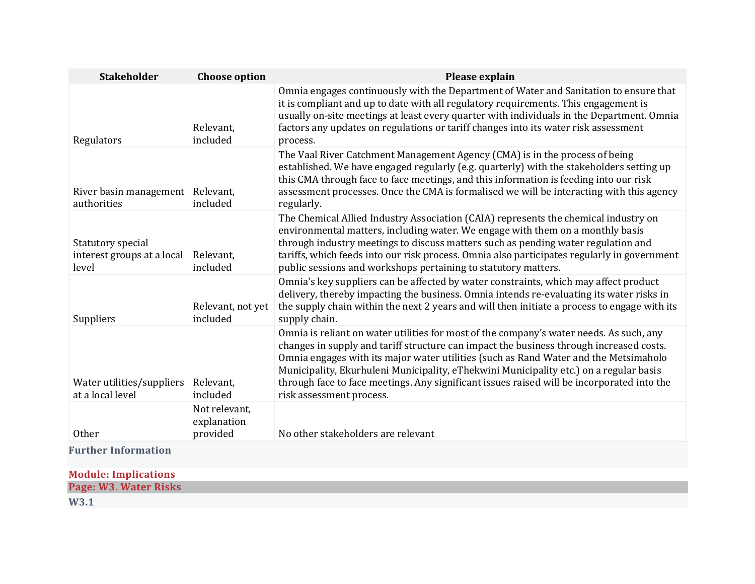| <b>Stakeholder</b>                                       | <b>Choose option</b>                     | Please explain                                                                                                                                                                                                                                                                                                                                                                                                                                                                                 |
|----------------------------------------------------------|------------------------------------------|------------------------------------------------------------------------------------------------------------------------------------------------------------------------------------------------------------------------------------------------------------------------------------------------------------------------------------------------------------------------------------------------------------------------------------------------------------------------------------------------|
| Regulators                                               | Relevant.<br>included                    | Omnia engages continuously with the Department of Water and Sanitation to ensure that<br>it is compliant and up to date with all regulatory requirements. This engagement is<br>usually on-site meetings at least every quarter with individuals in the Department. Omnia<br>factors any updates on regulations or tariff changes into its water risk assessment<br>process.                                                                                                                   |
| River basin management Relevant,<br>authorities          | included                                 | The Vaal River Catchment Management Agency (CMA) is in the process of being<br>established. We have engaged regularly (e.g. quarterly) with the stakeholders setting up<br>this CMA through face to face meetings, and this information is feeding into our risk<br>assessment processes. Once the CMA is formalised we will be interacting with this agency<br>regularly.                                                                                                                     |
| Statutory special<br>interest groups at a local<br>level | Relevant,<br>included                    | The Chemical Allied Industry Association (CAIA) represents the chemical industry on<br>environmental matters, including water. We engage with them on a monthly basis<br>through industry meetings to discuss matters such as pending water regulation and<br>tariffs, which feeds into our risk process. Omnia also participates regularly in government<br>public sessions and workshops pertaining to statutory matters.                                                                    |
| Suppliers                                                | Relevant, not yet<br>included            | Omnia's key suppliers can be affected by water constraints, which may affect product<br>delivery, thereby impacting the business. Omnia intends re-evaluating its water risks in<br>the supply chain within the next 2 years and will then initiate a process to engage with its<br>supply chain.                                                                                                                                                                                              |
| Water utilities/suppliers<br>at a local level            | Relevant,<br>included                    | Omnia is reliant on water utilities for most of the company's water needs. As such, any<br>changes in supply and tariff structure can impact the business through increased costs.<br>Omnia engages with its major water utilities (such as Rand Water and the Metsimaholo<br>Municipality, Ekurhuleni Municipality, eThekwini Municipality etc.) on a regular basis<br>through face to face meetings. Any significant issues raised will be incorporated into the<br>risk assessment process. |
| Other                                                    | Not relevant,<br>explanation<br>provided | No other stakeholders are relevant                                                                                                                                                                                                                                                                                                                                                                                                                                                             |
| <b>Further Information</b>                               |                                          |                                                                                                                                                                                                                                                                                                                                                                                                                                                                                                |

| <b>Module: Implications</b> |  |
|-----------------------------|--|
| Page: W3. Water Risks       |  |
| M/2 1                       |  |

**W3.1**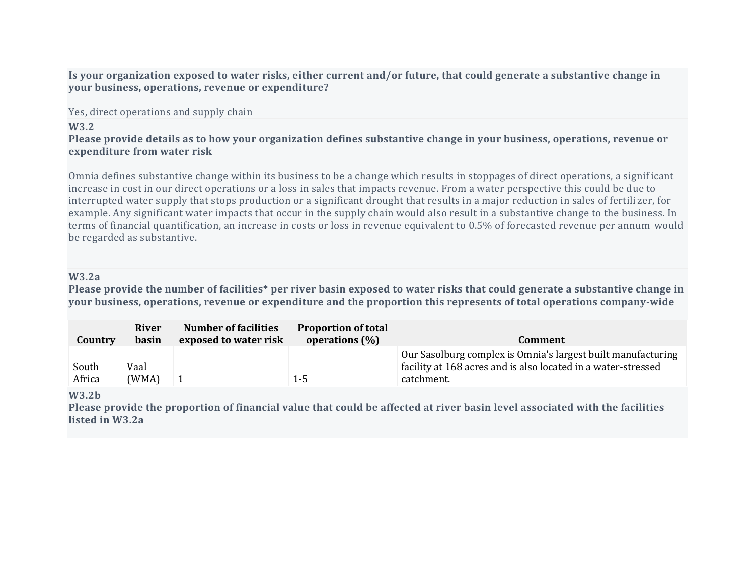Is your organization exposed to water risks, either current and/or future, that could generate a substantive change in **your business, operations, revenue or expenditure?**

Yes, direct operations and supply chain

#### **W3.2**

### Please provide details as to how your organization defines substantive change in your business, operations, revenue or **expenditure from water risk**

Omnia defines substantive change within its business to be a change which results in stoppages of direct operations, a signif icant increase in cost in our direct operations or a loss in sales that impacts revenue. From a water perspective this could be due to interrupted water supply that stops production or a significant drought that results in a major reduction in sales of fertili zer, for example. Any significant water impacts that occur in the supply chain would also result in a substantive change to the business. In terms of financial quantification, an increase in costs or loss in revenue equivalent to 0.5% of forecasted revenue per annum would be regarded as substantive.

#### **W3.2a**

Please provide the number of facilities\* per river basin exposed to water risks that could generate a substantive change in **your business, operations, revenue or expenditure and the proportion this represents of total operations company-wide**

| Country | <b>River</b><br>basin | <b>Number of facilities</b><br>exposed to water risk | <b>Proportion of total</b><br>operations $(\%)$ | Comment                                                                                                                       |
|---------|-----------------------|------------------------------------------------------|-------------------------------------------------|-------------------------------------------------------------------------------------------------------------------------------|
| South   | Vaal                  |                                                      |                                                 | Our Sasolburg complex is Omnia's largest built manufacturing<br>facility at 168 acres and is also located in a water-stressed |
| Africa  | (WMA)                 |                                                      | $1 - 5$                                         | catchment.                                                                                                                    |

#### **W3.2b**

Please provide the proportion of financial value that could be affected at river basin level associated with the facilities **listed in W3.2a**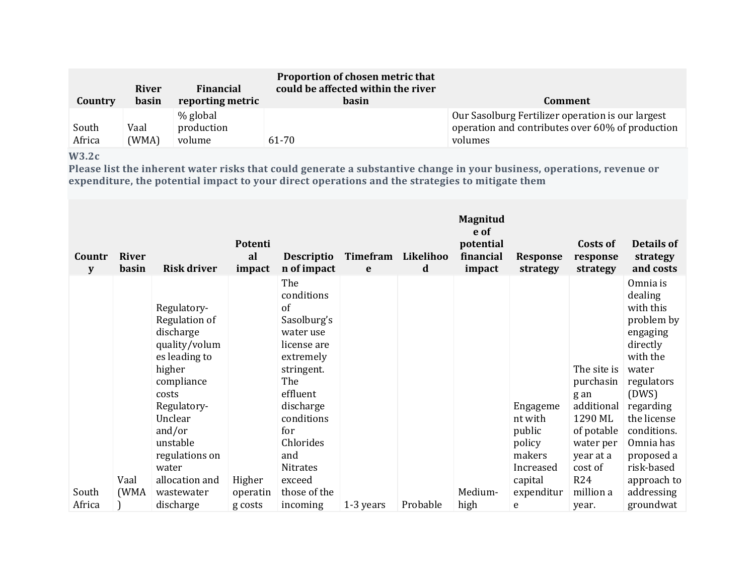| Country         | <b>River</b><br>basin | Financial<br>reporting metric    | Proportion of chosen metric that<br>could be affected within the river<br>basin | Comment                                                                                                          |
|-----------------|-----------------------|----------------------------------|---------------------------------------------------------------------------------|------------------------------------------------------------------------------------------------------------------|
| South<br>Africa | Vaal<br>(WMA)         | % global<br>production<br>volume | 61-70                                                                           | Our Sasolburg Fertilizer operation is our largest<br>operation and contributes over 60% of production<br>volumes |

# **W3.2c**

Please list the inherent water risks that could generate a substantive change in your business, operations, revenue or **expenditure, the potential impact to your direct operations and the strategies to mitigate them**

| Countr<br>y     | <b>River</b><br>basin | <b>Risk driver</b>                                                                                                                                                                                                                   | Potenti<br>al<br>impact       | <b>Descriptio</b><br>n of impact                                                                                                                                                                                                | Timefram<br>e | Likelihoo<br>d | Magnitud<br>e of<br>potential<br>financial<br>impact | <b>Response</b><br>strategy                                                                  | Costs of<br>response<br>strategy                                                                                                                 | Details of<br>strategy<br>and costs                                                                                                                                                                                                              |
|-----------------|-----------------------|--------------------------------------------------------------------------------------------------------------------------------------------------------------------------------------------------------------------------------------|-------------------------------|---------------------------------------------------------------------------------------------------------------------------------------------------------------------------------------------------------------------------------|---------------|----------------|------------------------------------------------------|----------------------------------------------------------------------------------------------|--------------------------------------------------------------------------------------------------------------------------------------------------|--------------------------------------------------------------------------------------------------------------------------------------------------------------------------------------------------------------------------------------------------|
| South<br>Africa | Vaal<br>(WMA          | Regulatory-<br>Regulation of<br>discharge<br>quality/volum<br>es leading to<br>higher<br>compliance<br>costs<br>Regulatory-<br>Unclear<br>and/or<br>unstable<br>regulations on<br>water<br>allocation and<br>wastewater<br>discharge | Higher<br>operatin<br>g costs | The<br>conditions<br>of<br>Sasolburg's<br>water use<br>license are<br>extremely<br>stringent.<br>The<br>effluent<br>discharge<br>conditions<br>for<br>Chlorides<br>and<br><b>Nitrates</b><br>exceed<br>those of the<br>incoming | 1-3 years     | Probable       | Medium-<br>high                                      | Engageme<br>nt with<br>public<br>policy<br>makers<br>Increased<br>capital<br>expenditur<br>e | The site is<br>purchasin<br>g an<br>additional<br>1290 ML<br>of potable<br>water per<br>year at a<br>cost of<br><b>R24</b><br>million a<br>year. | Omnia is<br>dealing<br>with this<br>problem by<br>engaging<br>directly<br>with the<br>water<br>regulators<br>(DWS)<br>regarding<br>the license<br>conditions.<br>Omnia has<br>proposed a<br>risk-based<br>approach to<br>addressing<br>groundwat |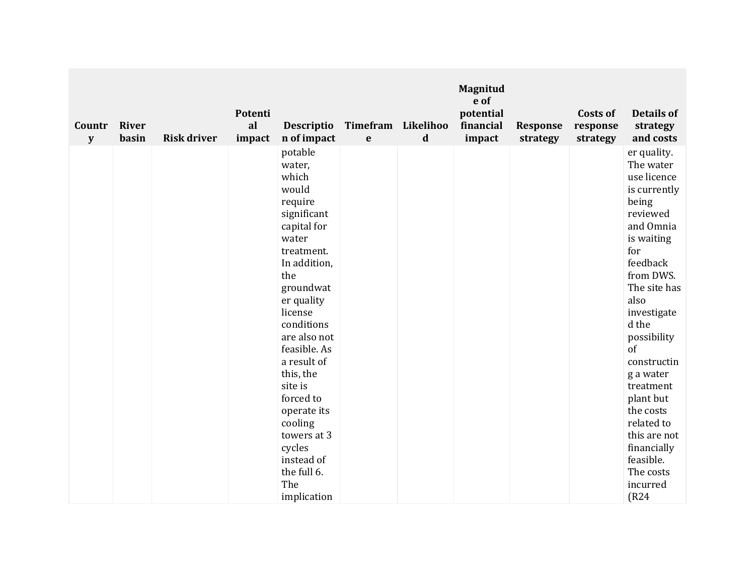| Countr<br>${\bf y}$ | <b>River</b><br>basin | <b>Risk driver</b> | Potenti<br>al<br>impact | <b>Descriptio</b><br>n of impact                                                                                                                                                                                                                                                                                                                                         | $\mathbf e$ | Timefram Likelihoo<br>d | <b>Magnitud</b><br>e of<br>potential<br>financial<br>impact | <b>Response</b><br>strategy | Costs of<br>response<br>strategy | <b>Details of</b><br>strategy<br>and costs                                                                                                                                                                                                                                                                                                                                  |
|---------------------|-----------------------|--------------------|-------------------------|--------------------------------------------------------------------------------------------------------------------------------------------------------------------------------------------------------------------------------------------------------------------------------------------------------------------------------------------------------------------------|-------------|-------------------------|-------------------------------------------------------------|-----------------------------|----------------------------------|-----------------------------------------------------------------------------------------------------------------------------------------------------------------------------------------------------------------------------------------------------------------------------------------------------------------------------------------------------------------------------|
|                     |                       |                    |                         | potable<br>water,<br>which<br>would<br>require<br>significant<br>capital for<br>water<br>treatment.<br>In addition,<br>the<br>groundwat<br>er quality<br>license<br>conditions<br>are also not<br>feasible. As<br>a result of<br>this, the<br>site is<br>forced to<br>operate its<br>cooling<br>towers at 3<br>cycles<br>instead of<br>the full 6.<br>The<br>implication |             |                         |                                                             |                             |                                  | er quality.<br>The water<br>use licence<br>is currently<br>being<br>reviewed<br>and Omnia<br>is waiting<br>for<br>feedback<br>from DWS.<br>The site has<br>also<br>investigate<br>d the<br>possibility<br>of<br>constructin<br>g a water<br>treatment<br>plant but<br>the costs<br>related to<br>this are not<br>financially<br>feasible.<br>The costs<br>incurred<br>(R24) |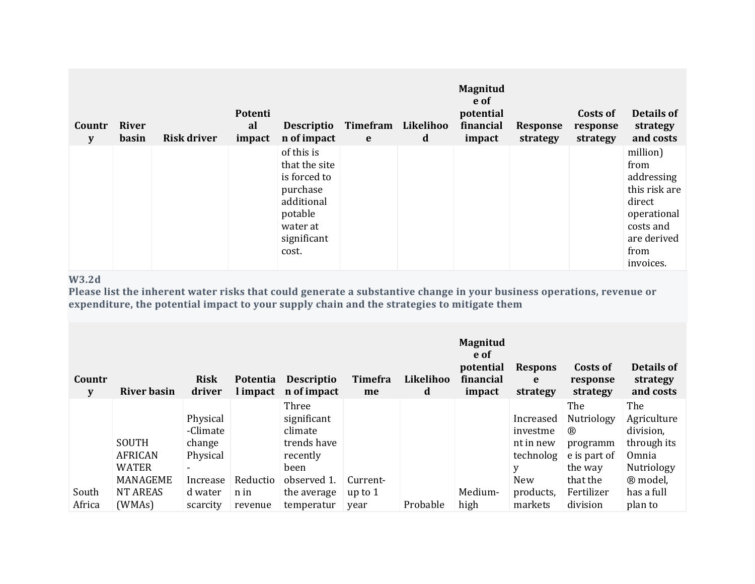| Countr<br>$\mathbf{y}$ | <b>River</b><br>basin | <b>Risk driver</b> | Potenti<br>al<br>impact | <b>Descriptio</b><br>n of impact                                                                                     | Timefram<br>e | Likelihoo<br>d | <b>Magnitud</b><br>e of<br>potential<br>financial<br>impact | <b>Response</b><br>strategy | Costs of<br>response<br>strategy | Details of<br>strategy<br>and costs                                                                                       |
|------------------------|-----------------------|--------------------|-------------------------|----------------------------------------------------------------------------------------------------------------------|---------------|----------------|-------------------------------------------------------------|-----------------------------|----------------------------------|---------------------------------------------------------------------------------------------------------------------------|
|                        |                       |                    |                         | of this is<br>that the site<br>is forced to<br>purchase<br>additional<br>potable<br>water at<br>significant<br>cost. |               |                |                                                             |                             |                                  | million)<br>from<br>addressing<br>this risk are<br>direct<br>operational<br>costs and<br>are derived<br>from<br>invoices. |

# **W3.2d**

Please list the inherent water risks that could generate a substantive change in your business operations, revenue or **expenditure, the potential impact to your supply chain and the strategies to mitigate them**

| Countr<br>y     | River basin                                           | <b>Risk</b><br>driver                      | <b>Potentia</b><br>l impact | <b>Descriptio</b><br>n of impact                           | Timefra<br>me                 | Likelihoo<br>d | <b>Magnitud</b><br>e of<br>potential<br>financial<br>impact | <b>Respons</b><br>e<br>strategy                 | Costs of<br>response<br>strategy                                | Details of<br>strategy<br>and costs                     |
|-----------------|-------------------------------------------------------|--------------------------------------------|-----------------------------|------------------------------------------------------------|-------------------------------|----------------|-------------------------------------------------------------|-------------------------------------------------|-----------------------------------------------------------------|---------------------------------------------------------|
|                 | SOUTH<br><b>AFRICAN</b>                               | Physical<br>-Climate<br>change<br>Physical |                             | Three<br>significant<br>climate<br>trends have<br>recently |                               |                |                                                             | Increased<br>investme<br>nt in new<br>technolog | The<br>Nutriology<br>$^{\circledR}$<br>programm<br>e is part of | The<br>Agriculture<br>division,<br>through its<br>Omnia |
| South<br>Africa | <b>WATER</b><br>MANAGEME<br><b>NT AREAS</b><br>(WMAS) | Increase<br>d water<br>scarcity            | Reductio<br>n in<br>revenue | been<br>observed 1.<br>the average<br>temperatur           | Current-<br>up to $1$<br>year | Probable       | Medium-<br>high                                             | y<br>New<br>products,<br>markets                | the way<br>that the<br>Fertilizer<br>division                   | Nutriology<br>® model,<br>has a full<br>plan to         |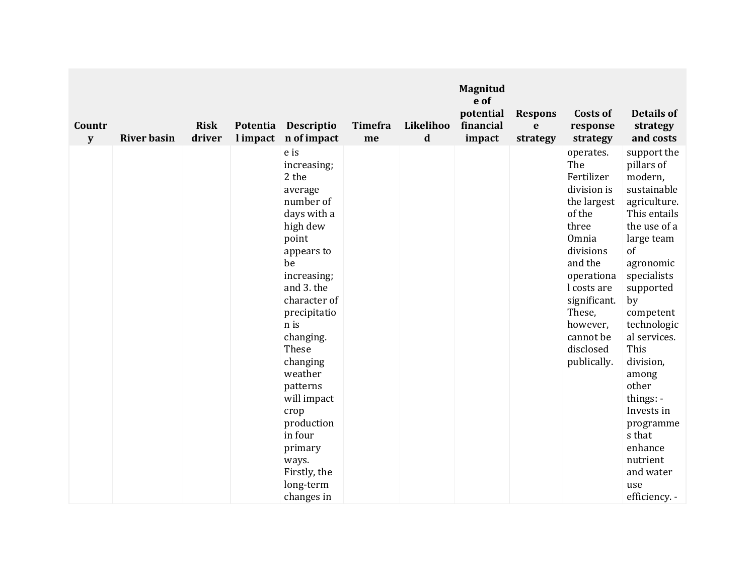| Countr<br>${\bf y}$ | <b>River basin</b> | <b>Risk</b><br>driver | l impact | Potentia Descriptio<br>n of impact                                                                                                                                                                                                                                                                                                                        | <b>Timefra</b><br>me | Likelihoo<br>$\mathbf d$ | Magnitud<br>e of<br>potential<br>financial<br>impact | <b>Respons</b><br>e<br>strategy | Costs of<br>response<br>strategy                                                                                                                                                                                             | <b>Details of</b><br>strategy<br>and costs                                                                                                                                                                                                                                                                                                                                |
|---------------------|--------------------|-----------------------|----------|-----------------------------------------------------------------------------------------------------------------------------------------------------------------------------------------------------------------------------------------------------------------------------------------------------------------------------------------------------------|----------------------|--------------------------|------------------------------------------------------|---------------------------------|------------------------------------------------------------------------------------------------------------------------------------------------------------------------------------------------------------------------------|---------------------------------------------------------------------------------------------------------------------------------------------------------------------------------------------------------------------------------------------------------------------------------------------------------------------------------------------------------------------------|
|                     |                    |                       |          | e is<br>increasing;<br>2 the<br>average<br>number of<br>days with a<br>high dew<br>point<br>appears to<br>be<br>increasing;<br>and 3. the<br>character of<br>precipitatio<br>n is<br>changing.<br>These<br>changing<br>weather<br>patterns<br>will impact<br>crop<br>production<br>in four<br>primary<br>ways.<br>Firstly, the<br>long-term<br>changes in |                      |                          |                                                      |                                 | operates.<br>The<br>Fertilizer<br>division is<br>the largest<br>of the<br>three<br>Omnia<br>divisions<br>and the<br>operationa<br>l costs are<br>significant.<br>These,<br>however,<br>cannot be<br>disclosed<br>publically. | support the<br>pillars of<br>modern,<br>sustainable<br>agriculture.<br>This entails<br>the use of a<br>large team<br>of<br>agronomic<br>specialists<br>supported<br>by<br>competent<br>technologic<br>al services.<br>This<br>division,<br>among<br>other<br>things: $-$<br>Invests in<br>programme<br>s that<br>enhance<br>nutrient<br>and water<br>use<br>efficiency. - |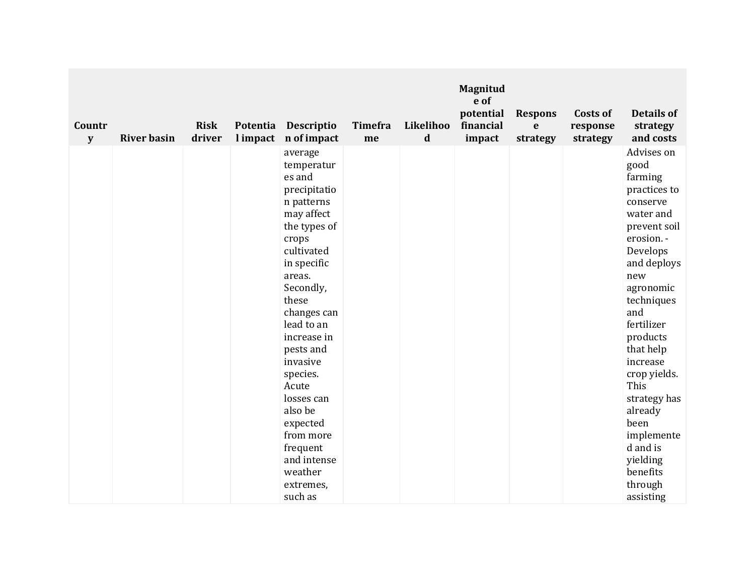| Countr<br>${\bf y}$ | <b>River basin</b> | <b>Risk</b><br>driver | l impact | Potentia Descriptio<br>n of impact                                                                                                                                                                                                                                                                                                                                          | <b>Timefra</b><br>me | Likelihoo<br>d | <b>Magnitud</b><br>e of<br>potential<br>financial<br>impact | <b>Respons</b><br>e<br>strategy | Costs of<br>response<br>strategy | <b>Details of</b><br>strategy<br>and costs                                                                                                                                                                                                                                                                                                                       |
|---------------------|--------------------|-----------------------|----------|-----------------------------------------------------------------------------------------------------------------------------------------------------------------------------------------------------------------------------------------------------------------------------------------------------------------------------------------------------------------------------|----------------------|----------------|-------------------------------------------------------------|---------------------------------|----------------------------------|------------------------------------------------------------------------------------------------------------------------------------------------------------------------------------------------------------------------------------------------------------------------------------------------------------------------------------------------------------------|
|                     |                    |                       |          | average<br>temperatur<br>es and<br>precipitatio<br>n patterns<br>may affect<br>the types of<br>crops<br>cultivated<br>in specific<br>areas.<br>Secondly,<br>these<br>changes can<br>lead to an<br>increase in<br>pests and<br>invasive<br>species.<br>Acute<br>losses can<br>also be<br>expected<br>from more<br>frequent<br>and intense<br>weather<br>extremes,<br>such as |                      |                |                                                             |                                 |                                  | Advises on<br>good<br>farming<br>practices to<br>conserve<br>water and<br>prevent soil<br>erosion. -<br>Develops<br>and deploys<br>new<br>agronomic<br>techniques<br>and<br>fertilizer<br>products<br>that help<br>increase<br>crop yields.<br>This<br>strategy has<br>already<br>been<br>implemente<br>d and is<br>yielding<br>benefits<br>through<br>assisting |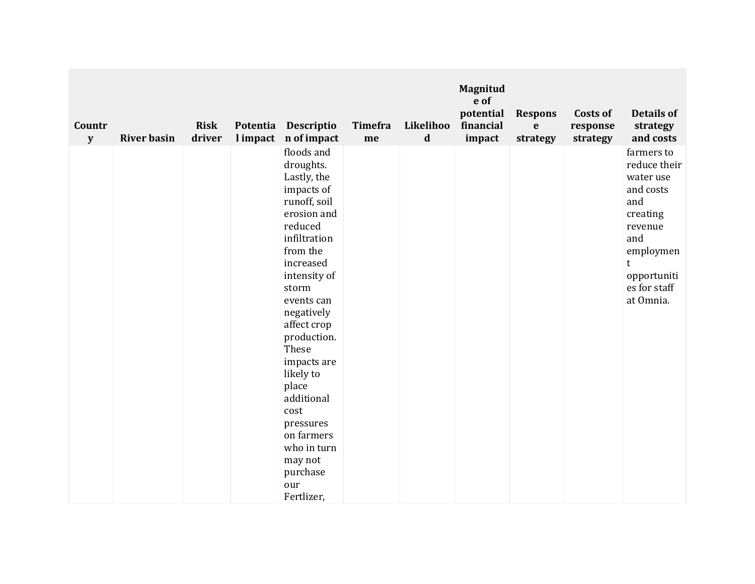| Countr<br>${\bf y}$ | <b>River basin</b> | <b>Risk</b><br>driver | l impact | Potentia Descriptio<br>n of impact                                                                                                                                                                                                                                                                                                                                                   | <b>Timefra</b><br>me | Likelihoo<br>d | Magnitud<br>e of<br>potential<br>financial<br>impact | <b>Respons</b><br>$\mathbf e$<br>strategy | Costs of<br>response<br>strategy | <b>Details of</b><br>strategy<br>and costs                                                                                                               |
|---------------------|--------------------|-----------------------|----------|--------------------------------------------------------------------------------------------------------------------------------------------------------------------------------------------------------------------------------------------------------------------------------------------------------------------------------------------------------------------------------------|----------------------|----------------|------------------------------------------------------|-------------------------------------------|----------------------------------|----------------------------------------------------------------------------------------------------------------------------------------------------------|
|                     |                    |                       |          | floods and<br>droughts.<br>Lastly, the<br>impacts of<br>runoff, soil<br>erosion and<br>reduced<br>infiltration<br>from the<br>increased<br>intensity of<br>storm<br>events can<br>negatively<br>affect crop<br>production.<br>These<br>impacts are<br>likely to<br>place<br>additional<br>cost<br>pressures<br>on farmers<br>who in turn<br>may not<br>purchase<br>our<br>Fertlizer, |                      |                |                                                      |                                           |                                  | farmers to<br>reduce their<br>water use<br>and costs<br>and<br>creating<br>revenue<br>and<br>employmen<br>t.<br>opportuniti<br>es for staff<br>at Omnia. |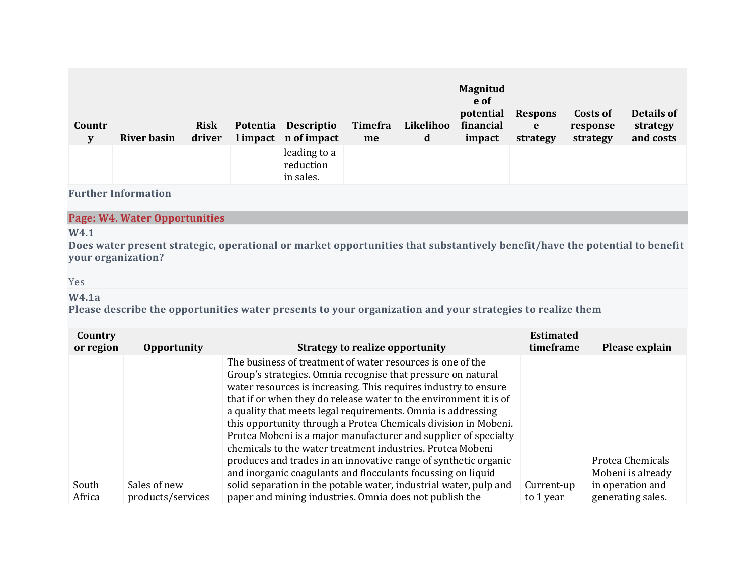| Countr<br>${\bf y}$ | <b>River basin</b> | <b>Risk</b><br>driver | Potentia Descriptio<br>l impact n of impact | Timefra<br>me | Likelihoo<br>d | <b>Magnitud</b><br>e of<br>potential<br>financial<br>impact | <b>Respons</b><br>e<br>strategy | Costs of<br>response<br>strategy | <b>Details of</b><br>strategy<br>and costs |
|---------------------|--------------------|-----------------------|---------------------------------------------|---------------|----------------|-------------------------------------------------------------|---------------------------------|----------------------------------|--------------------------------------------|
|                     |                    |                       | leading to a<br>reduction<br>in sales.      |               |                |                                                             |                                 |                                  |                                            |

### **Page: W4. Water Opportunities**

### **W4.1**

Does water present strategic, operational or market opportunities that substantively benefit/have the potential to benefit **your organization?**

#### Yes

# **W4.1a**

**Please describe the opportunities water presents to your organization and your strategies to realize them**

| Country<br>or region | <b>Opportunity</b>                | <b>Strategy to realize opportunity</b>                                                                                                                                                                                                                                                                                                                                                                                                                                                                                                                                                                                                                                    | <b>Estimated</b><br>timeframe | Please explain                        |
|----------------------|-----------------------------------|---------------------------------------------------------------------------------------------------------------------------------------------------------------------------------------------------------------------------------------------------------------------------------------------------------------------------------------------------------------------------------------------------------------------------------------------------------------------------------------------------------------------------------------------------------------------------------------------------------------------------------------------------------------------------|-------------------------------|---------------------------------------|
|                      |                                   | The business of treatment of water resources is one of the<br>Group's strategies. Omnia recognise that pressure on natural<br>water resources is increasing. This requires industry to ensure<br>that if or when they do release water to the environment it is of<br>a quality that meets legal requirements. Omnia is addressing<br>this opportunity through a Protea Chemicals division in Mobeni.<br>Protea Mobeni is a major manufacturer and supplier of specialty<br>chemicals to the water treatment industries. Protea Mobeni<br>produces and trades in an innovative range of synthetic organic<br>and inorganic coagulants and flocculants focussing on liquid |                               | Protea Chemicals<br>Mobeni is already |
| South<br>Africa      | Sales of new<br>products/services | solid separation in the potable water, industrial water, pulp and<br>paper and mining industries. Omnia does not publish the                                                                                                                                                                                                                                                                                                                                                                                                                                                                                                                                              | Current-up<br>to 1 year       | in operation and<br>generating sales. |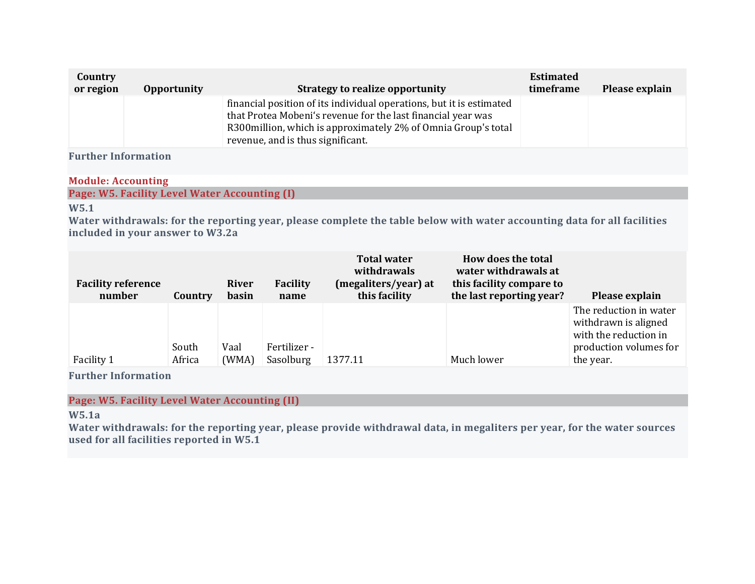| Country<br>or region | <b>Opportunity</b> | <b>Strategy to realize opportunity</b>                                                                                                                                                                                                     | <b>Estimated</b><br>timeframe | Please explain |
|----------------------|--------------------|--------------------------------------------------------------------------------------------------------------------------------------------------------------------------------------------------------------------------------------------|-------------------------------|----------------|
|                      |                    | financial position of its individual operations, but it is estimated<br>that Protea Mobeni's revenue for the last financial year was<br>R300million, which is approximately 2% of Omnia Group's total<br>revenue, and is thus significant. |                               |                |

## **Module: Accounting**

**Page: W5. Facility Level Water Accounting (I)**

# **W5.1**

Water withdrawals: for the reporting year, please complete the table below with water accounting data for all facilities **included in your answer to W3.2a**

| <b>Facility reference</b><br>number | Country         | <b>River</b><br>basin | Facility<br>name          | <b>Total water</b><br>withdrawals<br>(megaliters/year) at<br>this facility | How does the total<br>water withdrawals at<br>this facility compare to<br>the last reporting year? | Please explain                                                                                                 |
|-------------------------------------|-----------------|-----------------------|---------------------------|----------------------------------------------------------------------------|----------------------------------------------------------------------------------------------------|----------------------------------------------------------------------------------------------------------------|
| Facility 1                          | South<br>Africa | Vaal<br>(WMA)         | Fertilizer -<br>Sasolburg | 1377.11                                                                    | Much lower                                                                                         | The reduction in water<br>withdrawn is aligned<br>with the reduction in<br>production volumes for<br>the year. |

**Further Information**

**Page: W5. Facility Level Water Accounting (II)**

**W5.1a**

Water withdrawals: for the reporting year, please provide withdrawal data, in megaliters per year, for the water sources **used for all facilities reported in W5.1**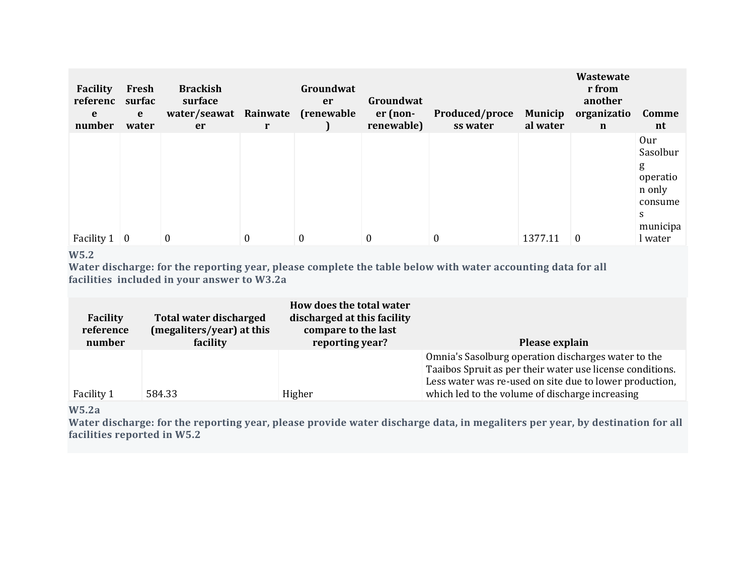| Facility<br>referenc<br>e<br>number | Fresh<br>surfac<br>$\mathbf{e}$<br>water | <b>Brackish</b><br>surface<br>water/seawat Rainwate (renewable<br>er | r            | Groundwat<br>er  | Groundwat<br>er (non-<br>renewable) | Produced/proce<br>ss water | <b>Municip</b><br>al water | Wastewate<br>r from<br>another<br>organizatio<br>$\mathbf n$ | Comme<br>nt                   |
|-------------------------------------|------------------------------------------|----------------------------------------------------------------------|--------------|------------------|-------------------------------------|----------------------------|----------------------------|--------------------------------------------------------------|-------------------------------|
|                                     |                                          |                                                                      |              |                  |                                     |                            |                            |                                                              | Our<br>Sasolbur<br>g          |
|                                     |                                          |                                                                      |              |                  |                                     |                            |                            |                                                              | operatio<br>n only<br>consume |
| Facility $1 \mid 0$                 |                                          | $\theta$                                                             | $\mathbf{0}$ | $\boldsymbol{0}$ | 0                                   | $\boldsymbol{0}$           | 1377.11                    | $\theta$                                                     | S<br>municipa<br>l water      |

#### **W5.2**

Water discharge: for the reporting year, please complete the table below with water accounting data for all **facilities included in your answer to W3.2a**

| <b>Facility</b><br>reference<br>number | Total water discharged<br>(megaliters/year) at this<br>facility | How does the total water<br>discharged at this facility<br>compare to the last<br>reporting year? | Please explain                                                                                                                                                                                                                 |
|----------------------------------------|-----------------------------------------------------------------|---------------------------------------------------------------------------------------------------|--------------------------------------------------------------------------------------------------------------------------------------------------------------------------------------------------------------------------------|
| Facility 1                             | 584.33                                                          | Higher                                                                                            | Omnia's Sasolburg operation discharges water to the<br>Taaibos Spruit as per their water use license conditions.<br>Less water was re-used on site due to lower production,<br>which led to the volume of discharge increasing |

# **W5.2a**

Water discharge: for the reporting year, please provide water discharge data, in megaliters per year, by destination for all **facilities reported in W5.2**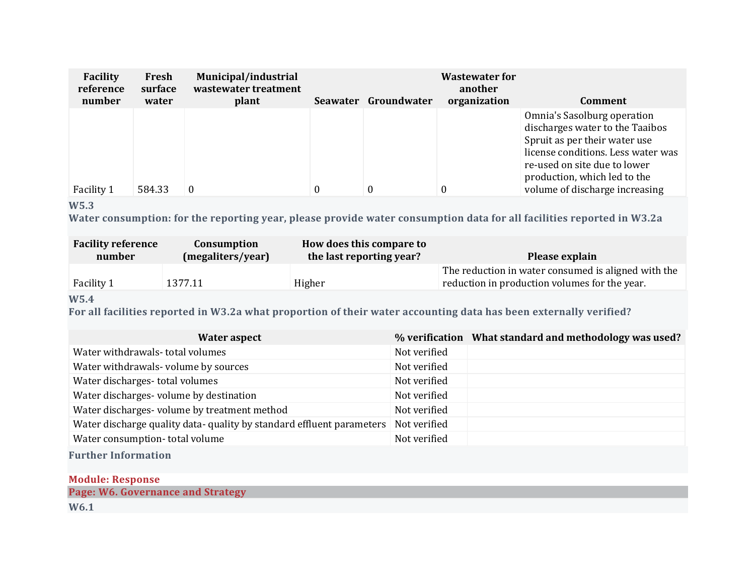| <b>Facility</b><br>reference<br>number | Fresh<br>surface<br>water | Municipal/industrial<br>wastewater treatment<br>plant |          | Seawater Groundwater | <b>Wastewater for</b><br>another<br>organization | Comment                                                                                                                                                                                               |
|----------------------------------------|---------------------------|-------------------------------------------------------|----------|----------------------|--------------------------------------------------|-------------------------------------------------------------------------------------------------------------------------------------------------------------------------------------------------------|
|                                        |                           |                                                       |          |                      |                                                  | Omnia's Sasolburg operation<br>discharges water to the Taaibos<br>Spruit as per their water use<br>license conditions. Less water was<br>re-used on site due to lower<br>production, which led to the |
| Facility 1                             | 584.33                    | $\Omega$                                              | $\theta$ |                      | $\theta$                                         | volume of discharge increasing                                                                                                                                                                        |

# **W5.3**

Water consumption: for the reporting year, please provide water consumption data for all facilities reported in W3.2a

| <b>Facility reference</b> | Consumption       | How does this compare to | Please explain                                                                                       |
|---------------------------|-------------------|--------------------------|------------------------------------------------------------------------------------------------------|
| number                    | (megaliters/year) | the last reporting year? |                                                                                                      |
| Facility 1                | 1377.11           | Higher                   | The reduction in water consumed is aligned with the<br>reduction in production volumes for the year. |

# **W5.4**

For all facilities reported in W3.2a what proportion of their water accounting data has been externally verified?

| Water aspect                                                          |              | % verification What standard and methodology was used? |
|-----------------------------------------------------------------------|--------------|--------------------------------------------------------|
| Water withdrawals-total volumes                                       | Not verified |                                                        |
| Water withdrawals- volume by sources                                  | Not verified |                                                        |
| Water discharges-total volumes                                        | Not verified |                                                        |
| Water discharges- volume by destination                               | Not verified |                                                        |
| Water discharges- volume by treatment method                          | Not verified |                                                        |
| Water discharge quality data- quality by standard effluent parameters | Not verified |                                                        |
| Water consumption-total volume                                        | Not verified |                                                        |
| $\mathbf{r}$ . I reference the set of $\mathbf{r}$                    |              |                                                        |

**Further Information**

| <b>Module: Response</b>           |  |
|-----------------------------------|--|
| Page: W6. Governance and Strategy |  |
| W6.1                              |  |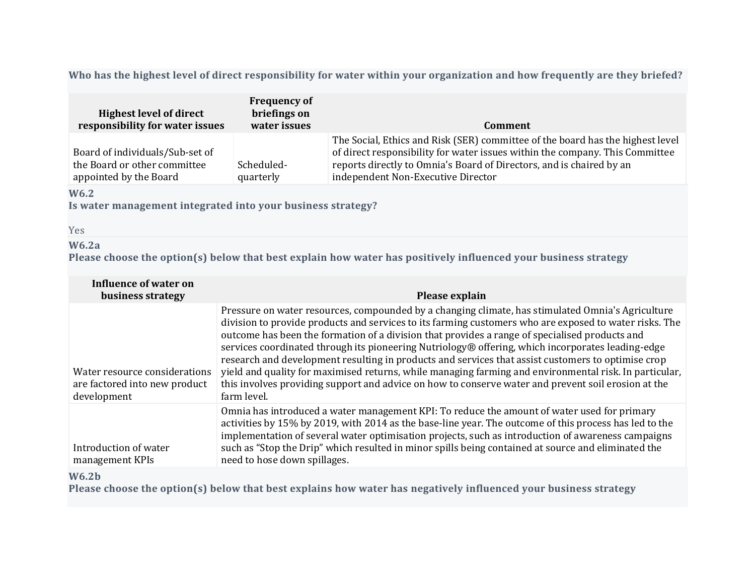Who has the highest level of direct responsibility for water within your organization and how frequently are they briefed?

| <b>Highest level of direct</b><br>responsibility for water issues                         | <b>Frequency of</b><br>briefings on<br>water issues | Comment                                                                                                                                                                                                                                                                      |
|-------------------------------------------------------------------------------------------|-----------------------------------------------------|------------------------------------------------------------------------------------------------------------------------------------------------------------------------------------------------------------------------------------------------------------------------------|
| Board of individuals/Sub-set of<br>the Board or other committee<br>appointed by the Board | Scheduled-<br>quarterly                             | The Social, Ethics and Risk (SER) committee of the board has the highest level<br>of direct responsibility for water issues within the company. This Committee<br>reports directly to Omnia's Board of Directors, and is chaired by an<br>independent Non-Executive Director |

# **W6.2**

**Is water management integrated into your business strategy?**

Yes

# **W6.2a**

**Please choose the option(s) below that best explain how water has positively influenced your business strategy**

| Influence of water on<br>business strategy                                    | Please explain                                                                                                                                                                                                                                                                                                                                                                                                                                                                                                                                                                                                                                                                                                                                           |
|-------------------------------------------------------------------------------|----------------------------------------------------------------------------------------------------------------------------------------------------------------------------------------------------------------------------------------------------------------------------------------------------------------------------------------------------------------------------------------------------------------------------------------------------------------------------------------------------------------------------------------------------------------------------------------------------------------------------------------------------------------------------------------------------------------------------------------------------------|
| Water resource considerations<br>are factored into new product<br>development | Pressure on water resources, compounded by a changing climate, has stimulated Omnia's Agriculture<br>division to provide products and services to its farming customers who are exposed to water risks. The<br>outcome has been the formation of a division that provides a range of specialised products and<br>services coordinated through its pioneering Nutriology® offering, which incorporates leading-edge<br>research and development resulting in products and services that assist customers to optimise crop<br>yield and quality for maximised returns, while managing farming and environmental risk. In particular,<br>this involves providing support and advice on how to conserve water and prevent soil erosion at the<br>farm level. |
| Introduction of water<br>management KPIs                                      | Omnia has introduced a water management KPI: To reduce the amount of water used for primary<br>activities by 15% by 2019, with 2014 as the base-line year. The outcome of this process has led to the<br>implementation of several water optimisation projects, such as introduction of awareness campaigns<br>such as "Stop the Drip" which resulted in minor spills being contained at source and eliminated the<br>need to hose down spillages.                                                                                                                                                                                                                                                                                                       |

**W6.2b**

**Please choose the option(s) below that best explains how water has negatively influenced your business strategy**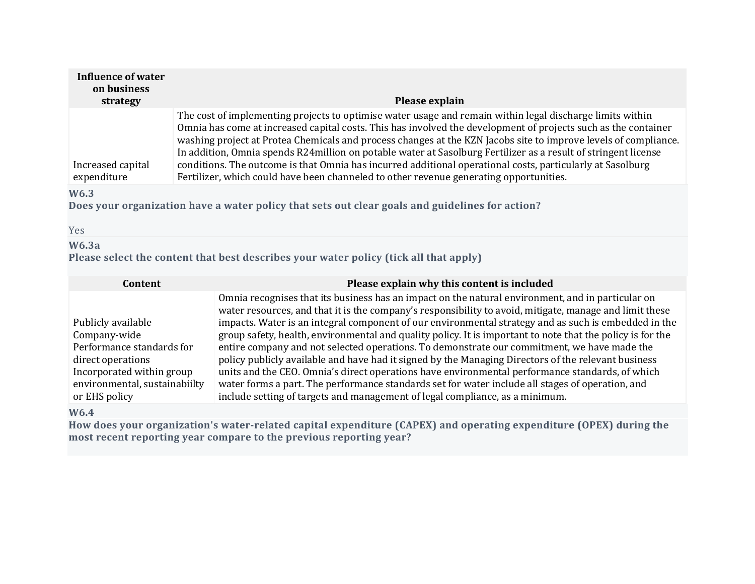| <b>Influence of water</b><br>on business<br>strategy | Please explain                                                                                                                                                                                                                                                                                                                                                                                                                                                                                                                                                                                                                                                            |
|------------------------------------------------------|---------------------------------------------------------------------------------------------------------------------------------------------------------------------------------------------------------------------------------------------------------------------------------------------------------------------------------------------------------------------------------------------------------------------------------------------------------------------------------------------------------------------------------------------------------------------------------------------------------------------------------------------------------------------------|
| Increased capital<br>expenditure                     | The cost of implementing projects to optimise water usage and remain within legal discharge limits within<br>Omnia has come at increased capital costs. This has involved the development of projects such as the container<br>washing project at Protea Chemicals and process changes at the KZN Jacobs site to improve levels of compliance.<br>In addition, Omnia spends R24 million on potable water at Sasolburg Fertilizer as a result of stringent license<br>conditions. The outcome is that Omnia has incurred additional operational costs, particularly at Sasolburg<br>Fertilizer, which could have been channeled to other revenue generating opportunities. |
| W <sub>6.3</sub><br>Yes                              | Does your organization have a water policy that sets out clear goals and guidelines for action?                                                                                                                                                                                                                                                                                                                                                                                                                                                                                                                                                                           |
| W6.3a                                                | Please select the content that best describes your water policy (tick all that apply)                                                                                                                                                                                                                                                                                                                                                                                                                                                                                                                                                                                     |

| Content                       | Please explain why this content is included                                                                                                                                                                  |
|-------------------------------|--------------------------------------------------------------------------------------------------------------------------------------------------------------------------------------------------------------|
|                               | Omnia recognises that its business has an impact on the natural environment, and in particular on<br>water resources, and that it is the company's responsibility to avoid, mitigate, manage and limit these |
| Publicly available            | impacts. Water is an integral component of our environmental strategy and as such is embedded in the                                                                                                         |
| Company-wide                  | group safety, health, environmental and quality policy. It is important to note that the policy is for the                                                                                                   |
| Performance standards for     | entire company and not selected operations. To demonstrate our commitment, we have made the                                                                                                                  |
| direct operations             | policy publicly available and have had it signed by the Managing Directors of the relevant business                                                                                                          |
| Incorporated within group     | units and the CEO. Omnia's direct operations have environmental performance standards, of which                                                                                                              |
| environmental, sustainabiilty | water forms a part. The performance standards set for water include all stages of operation, and                                                                                                             |
| or EHS policy                 | include setting of targets and management of legal compliance, as a minimum.                                                                                                                                 |

# **W6.4**

**How does your organization's water-related capital expenditure (CAPEX) and operating expenditure (OPEX) during the most recent reporting year compare to the previous reporting year?**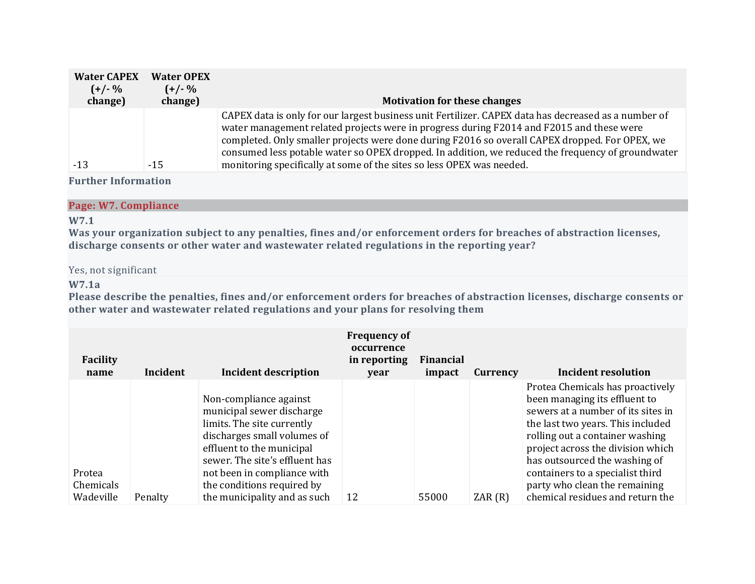| <b>Water CAPEX</b><br>$(+/- %$<br>change) | <b>Water OPEX</b><br>$(+/- %$<br>change) | <b>Motivation for these changes</b>                                                                                                                                                                                                                                                                                                                                                                                                                                              |
|-------------------------------------------|------------------------------------------|----------------------------------------------------------------------------------------------------------------------------------------------------------------------------------------------------------------------------------------------------------------------------------------------------------------------------------------------------------------------------------------------------------------------------------------------------------------------------------|
| $-13$                                     | $-15$                                    | CAPEX data is only for our largest business unit Fertilizer. CAPEX data has decreased as a number of<br>water management related projects were in progress during F2014 and F2015 and these were<br>completed. Only smaller projects were done during F2016 so overall CAPEX dropped. For OPEX, we<br>consumed less potable water so OPEX dropped. In addition, we reduced the frequency of groundwater<br>monitoring specifically at some of the sites so less OPEX was needed. |

#### **Page: W7. Compliance**

# **W7.1**

Was your organization subject to any penalties, fines and/or enforcement orders for breaches of abstraction licenses, **discharge consents or other water and wastewater related regulations in the reporting year?**

#### Yes, not significant

### **W7.1a**

Please describe the penalties, fines and/or enforcement orders for breaches of abstraction licenses, discharge consents or **other water and wastewater related regulations and your plans for resolving them**

| <b>Facility</b><br>name | Incident | <b>Incident description</b>    | <b>Frequency of</b><br>occurrence<br>in reporting<br>year | Financial<br>impact | Currency | Incident resolution                |
|-------------------------|----------|--------------------------------|-----------------------------------------------------------|---------------------|----------|------------------------------------|
|                         |          |                                |                                                           |                     |          | Protea Chemicals has proactively   |
|                         |          | Non-compliance against         |                                                           |                     |          | been managing its effluent to      |
|                         |          | municipal sewer discharge      |                                                           |                     |          | sewers at a number of its sites in |
|                         |          | limits. The site currently     |                                                           |                     |          | the last two years. This included  |
|                         |          | discharges small volumes of    |                                                           |                     |          | rolling out a container washing    |
|                         |          | effluent to the municipal      |                                                           |                     |          | project across the division which  |
|                         |          | sewer. The site's effluent has |                                                           |                     |          | has outsourced the washing of      |
| Protea                  |          | not been in compliance with    |                                                           |                     |          | containers to a specialist third   |
| Chemicals               |          | the conditions required by     |                                                           |                     |          | party who clean the remaining      |
| Wadeville               | Penalty  | the municipality and as such   | 12                                                        | 55000               | ZAR(R)   | chemical residues and return the   |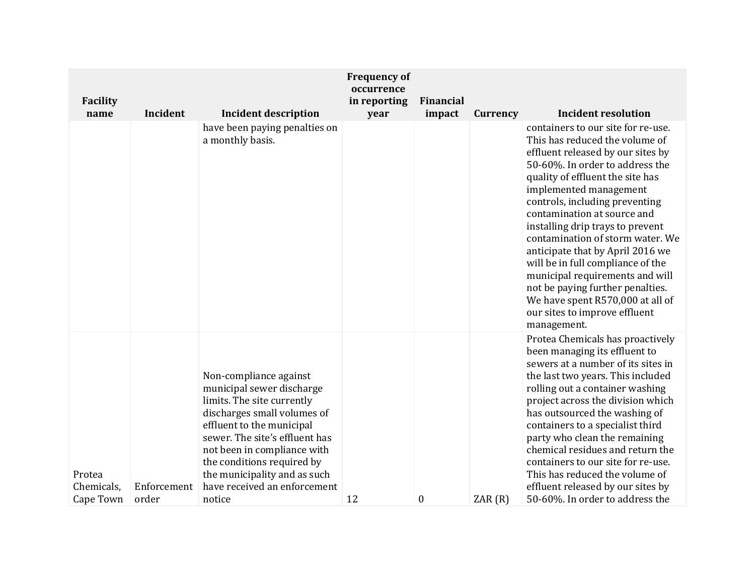| Facility                          |                      |                                                                                                                                                                                                                                                                                                                        | <b>Frequency of</b><br>occurrence<br>in reporting | Financial |          |                                                                                                                                                                                                                                                                                                                                                                                                                                                                                                                                                                                         |
|-----------------------------------|----------------------|------------------------------------------------------------------------------------------------------------------------------------------------------------------------------------------------------------------------------------------------------------------------------------------------------------------------|---------------------------------------------------|-----------|----------|-----------------------------------------------------------------------------------------------------------------------------------------------------------------------------------------------------------------------------------------------------------------------------------------------------------------------------------------------------------------------------------------------------------------------------------------------------------------------------------------------------------------------------------------------------------------------------------------|
| name                              | Incident             | <b>Incident description</b>                                                                                                                                                                                                                                                                                            | year                                              | impact    | Currency | <b>Incident resolution</b>                                                                                                                                                                                                                                                                                                                                                                                                                                                                                                                                                              |
|                                   |                      | have been paying penalties on<br>a monthly basis.                                                                                                                                                                                                                                                                      |                                                   |           |          | containers to our site for re-use.<br>This has reduced the volume of<br>effluent released by our sites by<br>50-60%. In order to address the<br>quality of effluent the site has<br>implemented management<br>controls, including preventing<br>contamination at source and<br>installing drip trays to prevent<br>contamination of storm water. We<br>anticipate that by April 2016 we<br>will be in full compliance of the<br>municipal requirements and will<br>not be paying further penalties.<br>We have spent R570,000 at all of<br>our sites to improve effluent<br>management. |
| Protea<br>Chemicals,<br>Cape Town | Enforcement<br>order | Non-compliance against<br>municipal sewer discharge<br>limits. The site currently<br>discharges small volumes of<br>effluent to the municipal<br>sewer. The site's effluent has<br>not been in compliance with<br>the conditions required by<br>the municipality and as such<br>have received an enforcement<br>notice | 12                                                | $\bf{0}$  | ZAR(R)   | Protea Chemicals has proactively<br>been managing its effluent to<br>sewers at a number of its sites in<br>the last two years. This included<br>rolling out a container washing<br>project across the division which<br>has outsourced the washing of<br>containers to a specialist third<br>party who clean the remaining<br>chemical residues and return the<br>containers to our site for re-use.<br>This has reduced the volume of<br>effluent released by our sites by<br>50-60%. In order to address the                                                                          |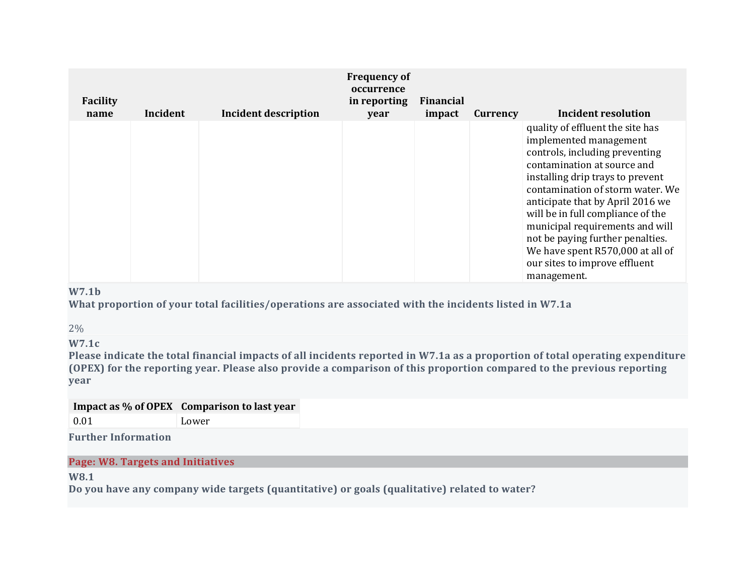| <b>Facility</b><br>name | Incident | <b>Incident description</b> | <b>Frequency of</b><br>occurrence<br>in reporting<br>year | <b>Financial</b><br>impact | Currency | Incident resolution                                                                                                                                                                                                                                                                                                                                                                                                                     |
|-------------------------|----------|-----------------------------|-----------------------------------------------------------|----------------------------|----------|-----------------------------------------------------------------------------------------------------------------------------------------------------------------------------------------------------------------------------------------------------------------------------------------------------------------------------------------------------------------------------------------------------------------------------------------|
|                         |          |                             |                                                           |                            |          | quality of effluent the site has<br>implemented management<br>controls, including preventing<br>contamination at source and<br>installing drip trays to prevent<br>contamination of storm water. We<br>anticipate that by April 2016 we<br>will be in full compliance of the<br>municipal requirements and will<br>not be paying further penalties.<br>We have spent R570,000 at all of<br>our sites to improve effluent<br>management. |

# **W7.1b**

**What proportion of your total facilities/operations are associated with the incidents listed in W7.1a**

2%

**W7.1c**

Please indicate the total financial impacts of all incidents reported in W7.1a as a proportion of total operating expenditure (OPEX) for the reporting year. Please also provide a comparison of this proportion compared to the previous reporting **year**

# **Impact as % of OPEX Comparison to last year** 0.01 Lower

**Further Information**

**Page: W8. Targets and Initiatives**

**W8.1**

**Do you have any company wide targets (quantitative) or goals (qualitative) related to water?**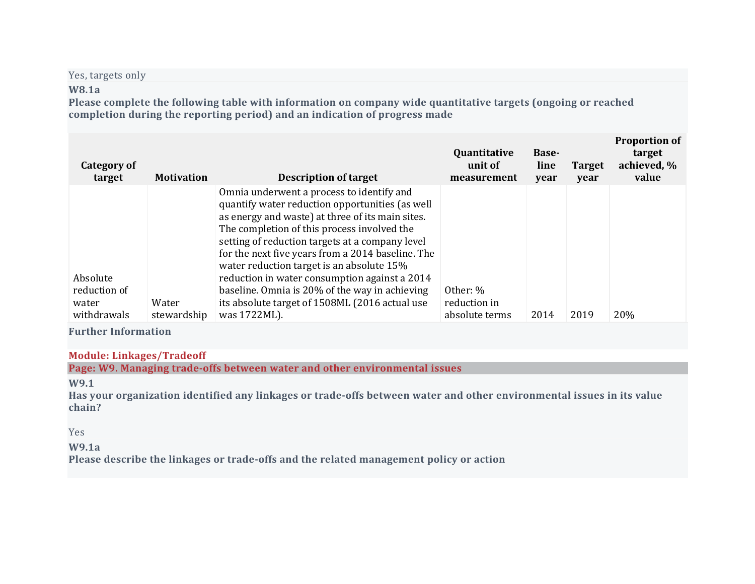Yes, targets only

## **W8.1a**

**Please complete the following table with information on company wide quantitative targets (ongoing or reached completion during the reporting period) and an indication of progress made**

| Category of<br>target | <b>Motivation</b> | <b>Description of target</b>                                                                                                                                                                                                                                                                                                                         | Quantitative<br>unit of<br>measurement | <b>Base-</b><br>line<br>year | <b>Target</b><br>year | <b>Proportion of</b><br>target<br>achieved, %<br>value |
|-----------------------|-------------------|------------------------------------------------------------------------------------------------------------------------------------------------------------------------------------------------------------------------------------------------------------------------------------------------------------------------------------------------------|----------------------------------------|------------------------------|-----------------------|--------------------------------------------------------|
|                       |                   | Omnia underwent a process to identify and<br>quantify water reduction opportunities (as well<br>as energy and waste) at three of its main sites.<br>The completion of this process involved the<br>setting of reduction targets at a company level<br>for the next five years from a 2014 baseline. The<br>water reduction target is an absolute 15% |                                        |                              |                       |                                                        |
| Absolute              |                   | reduction in water consumption against a 2014                                                                                                                                                                                                                                                                                                        |                                        |                              |                       |                                                        |
| reduction of          |                   | baseline. Omnia is 20% of the way in achieving                                                                                                                                                                                                                                                                                                       | Other: %                               |                              |                       |                                                        |
| water                 | Water             | its absolute target of 1508ML (2016 actual use                                                                                                                                                                                                                                                                                                       | reduction in                           |                              |                       |                                                        |
| withdrawals           | stewardship       | was 1722ML).                                                                                                                                                                                                                                                                                                                                         | absolute terms                         | 2014                         | 2019                  | 20%                                                    |

**Further Information**

### **Module: Linkages/Tradeoff**

**Page: W9. Managing trade-offs between water and other environmental issues**

**W9.1**

Has your organization identified any linkages or trade-offs between water and other environmental issues in its value **chain?**

#### Yes

### **W9.1a**

**Please describe the linkages or trade-offs and the related management policy or action**